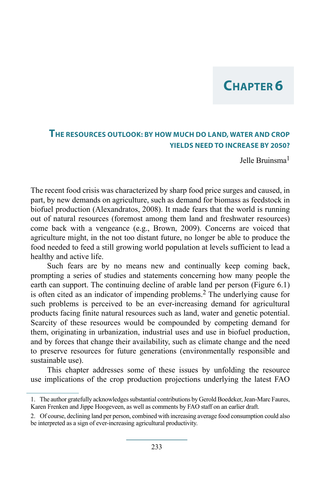# **Chapter 6**

### **The resources outlook: by how much do land, water and crop yields need to increase by 2050?**

Jelle Bruinsma1

The recent food crisis was characterized by sharp food price surges and caused, in part, by new demands on agriculture, such as demand for biomass as feedstock in biofuel production (Alexandratos, 2008). It made fears that the world is running out of natural resources (foremost among them land and freshwater resources) come back with a vengeance (e.g., Brown, 2009). Concerns are voiced that agriculture might, in the not too distant future, no longer be able to produce the food needed to feed a still growing world population at levels sufficient to lead a healthy and active life.

Such fears are by no means new and continually keep coming back, prompting a series of studies and statements concerning how many people the earth can support. The continuing decline of arable land per person (Figure 6.1) is often cited as an indicator of impending problems.2 The underlying cause for such problems is perceived to be an ever-increasing demand for agricultural products facing finite natural resources such as land, water and genetic potential. Scarcity of these resources would be compounded by competing demand for them, originating in urbanization, industrial uses and use in biofuel production, and by forces that change their availability, such as climate change and the need to preserve resources for future generations (environmentally responsible and sustainable use).

This chapter addresses some of these issues by unfolding the resource use implications of the crop production projections underlying the latest FAO

<sup>1.</sup> The author gratefully acknowledges substantial contributions by Gerold Boedeker, Jean-Marc Faures, Karen Frenken and Jippe Hoogeveen, as well as comments by FAO staff on an earlier draft.

<sup>2.</sup> Of course, declining land per person, combined with increasing average food consumption could also be interpreted as a sign of ever-increasing agricultural productivity.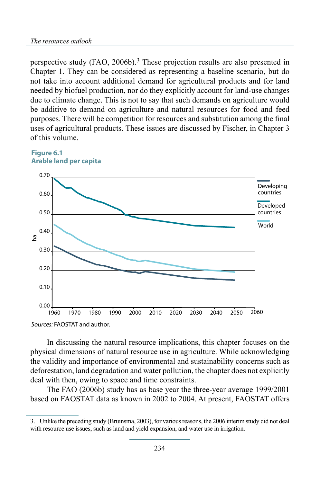perspective study (FAO, 2006b).3 These projection results are also presented in Chapter 1. They can be considered as representing a baseline scenario, but do not take into account additional demand for agricultural products and for land needed by biofuel production, nor do they explicitly account for land-use changes due to climate change. This is not to say that such demands on agriculture would be additive to demand on agriculture and natural resources for food and feed purposes. There will be competition for resources and substitution among the final uses of agricultural products. These issues are discussed by Fischer, in Chapter 3 of this volume.





*Sources:* FAOSTAT and author.

In discussing the natural resource implications, this chapter focuses on the physical dimensions of natural resource use in agriculture. While acknowledging the validity and importance of environmental and sustainability concerns such as deforestation, land degradation and water pollution, the chapter does not explicitly deal with then, owing to space and time constraints.

The FAO (2006b) study has as base year the three-year average 1999/2001 based on FAOSTAT data as known in 2002 to 2004. At present, FAOSTAT offers

<sup>3.</sup> Unlike the preceding study (Bruinsma, 2003), for various reasons, the 2006 interim study did not deal with resource use issues, such as land and yield expansion, and water use in irrigation.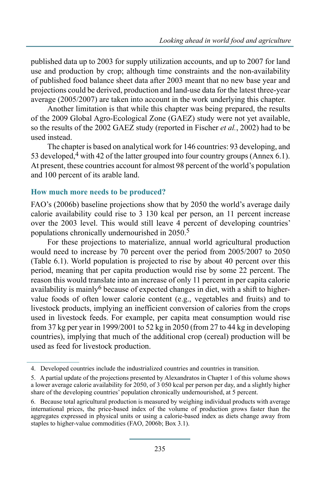published data up to 2003 for supply utilization accounts, and up to 2007 for land use and production by crop; although time constraints and the non-availability of published food balance sheet data after 2003 meant that no new base year and projections could be derived, production and land-use data for the latest three-year average (2005/2007) are taken into account in the work underlying this chapter.

Another limitation is that while this chapter was being prepared, the results of the 2009 Global Agro-Ecological Zone (GAEZ) study were not yet available, so the results of the 2002 GAEZ study (reported in Fischer *et al.*, 2002) had to be used instead.

The chapter is based on analytical work for 146 countries: 93 developing, and 53 developed,  $4$  with 42 of the latter grouped into four country groups (Annex 6.1). At present, these countries account for almost 98 percent of the world's population and 100 percent of its arable land.

### **How much more needs to be produced?**

FAO's (2006b) baseline projections show that by 2050 the world's average daily calorie availability could rise to 3 130 kcal per person, an 11 percent increase over the 2003 level. This would still leave 4 percent of developing countries' populations chronically undernourished in 2050.5

For these projections to materialize, annual world agricultural production would need to increase by 70 percent over the period from 2005/2007 to 2050 (Table 6.1). World population is projected to rise by about 40 percent over this period, meaning that per capita production would rise by some 22 percent. The reason this would translate into an increase of only 11 percent in per capita calorie availability is mainly<sup>6</sup> because of expected changes in diet, with a shift to highervalue foods of often lower calorie content (e.g., vegetables and fruits) and to livestock products, implying an inefficient conversion of calories from the crops used in livestock feeds. For example, per capita meat consumption would rise from 37 kg per year in 1999/2001 to 52 kg in 2050 (from 27 to 44 kg in developing countries), implying that much of the additional crop (cereal) production will be used as feed for livestock production.

<sup>4.</sup> Developed countries include the industrialized countries and countries in transition.

<sup>5.</sup> A partial update of the projections presented by Alexandratos in Chapter 1 of this volume shows a lower average calorie availability for 2050, of 3 050 kcal per person per day, and a slightly higher share of the developing countries' population chronically undernourished, at 5 percent.

<sup>6.</sup> Because total agricultural production is measured by weighing individual products with average international prices, the price-based index of the volume of production grows faster than the aggregates expressed in physical units or using a calorie-based index as diets change away from staples to higher-value commodities (FAO, 2006b; Box 3.1).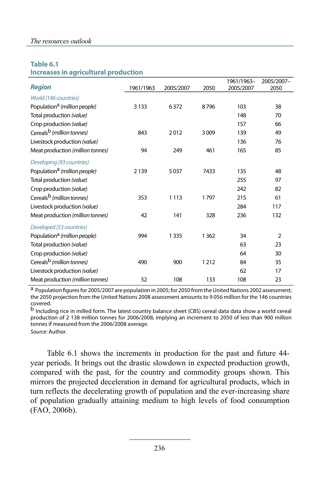#### *The resources outlook*

#### **Table 6.1**

**Increases in agricultural production**

|                                          |           |           |      | 1961/1963- | 2005/2007-     |
|------------------------------------------|-----------|-----------|------|------------|----------------|
| <b>Region</b>                            | 1961/1963 | 2005/2007 | 2050 | 2005/2007  | 2050           |
| World (146 countries)                    |           |           |      |            |                |
| Population <sup>a</sup> (million people) | 3 1 3 3   | 6372      | 8796 | 103        | 38             |
| Total production (value)                 |           |           |      | 148        | 70             |
| Crop production (value)                  |           |           |      | 157        | 66             |
| Cereals <sup>b</sup> (million tonnes)    | 843       | 2012      | 3009 | 139        | 49             |
| Livestock production (value)             |           |           |      | 136        | 76             |
| Meat production (million tonnes)         | 94        | 249       | 461  | 165        | 85             |
| Developing (93 countries)                |           |           |      |            |                |
| Population <sup>a</sup> (million people) | 2139      | 5037      | 7433 | 135        | 48             |
| Total production (value)                 |           |           |      | 255        | 97             |
| Crop production (value)                  |           |           |      | 242        | 82             |
| Cereals <sup>b</sup> (million tonnes)    | 353       | 1 1 1 3   | 1797 | 215        | 61             |
| Livestock production (value)             |           |           |      | 284        | 117            |
| Meat production (million tonnes)         | 42        | 141       | 328  | 236        | 132            |
| Developed (53 countries)                 |           |           |      |            |                |
| Population <sup>a</sup> (million people) | 994       | 1335      | 1362 | 34         | $\overline{2}$ |
| Total production (value)                 |           |           |      | 63         | 23             |
| Crop production (value)                  |           |           |      | 64         | 30             |
| Cereals <sup>b</sup> (million tonnes)    | 490       | 900       | 1212 | 84         | 35             |
| Livestock production (value)             |           |           |      | 62         | 17             |
| Meat production (million tonnes)         | 52        | 108       | 133  | 108        | 23             |

a Population figures for 2005/2007 are population in 2005; for 2050 from the United Nations 2002 assessment; the 2050 projection from the United Nations 2008 assessment amounts to 9 056 million for the 146 countries covered.

b Including rice in milled form. The latest country balance sheet (CBS) cereal data data show a world cereal production of 2 138 million tonnes for 2006/2008, implying an increment to 2050 of less than 900 million tonnes if measured from the 2006/2008 average. *Source:* Author.

Table 6.1 shows the increments in production for the past and future 44 year periods. It brings out the drastic slowdown in expected production growth, compared with the past, for the country and commodity groups shown. This mirrors the projected deceleration in demand for agricultural products, which in turn reflects the decelerating growth of population and the ever-increasing share of population gradually attaining medium to high levels of food consumption (FAO, 2006b).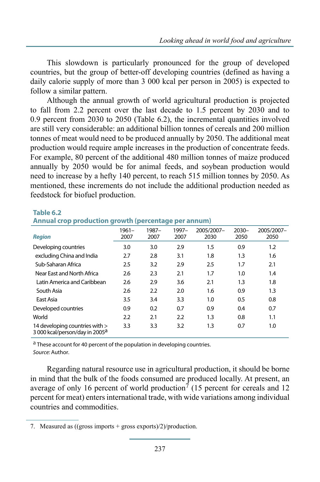This slowdown is particularly pronounced for the group of developed countries, but the group of better-off developing countries (defined as having a daily calorie supply of more than 3 000 kcal per person in 2005) is expected to follow a similar pattern.

Although the annual growth of world agricultural production is projected to fall from 2.2 percent over the last decade to 1.5 percent by 2030 and to 0.9 percent from 2030 to 2050 (Table 6.2), the incremental quantities involved are still very considerable: an additional billion tonnes of cereals and 200 million tonnes of meat would need to be produced annually by 2050. The additional meat production would require ample increases in the production of concentrate feeds. For example, 80 percent of the additional 480 million tonnes of maize produced annually by 2050 would be for animal feeds, and soybean production would need to increase by a hefty 140 percent, to reach 515 million tonnes by 2050. As mentioned, these increments do not include the additional production needed as feedstock for biofuel production.

#### **Table 6.2**

**Annual crop production growth (percentage per annum)**

| <b>Region</b>                                                                | $1961 -$<br>2007 | $1987 -$<br>2007 | 1997-<br>2007 | 2005/2007-<br>2030 | $2030 -$<br>2050 | 2005/2007-<br>2050 |
|------------------------------------------------------------------------------|------------------|------------------|---------------|--------------------|------------------|--------------------|
| Developing countries                                                         | 3.0              | 3.0              | 2.9           | 1.5                | 0.9              | $1.2\phantom{0}$   |
| excluding China and India                                                    | 2.7              | 2.8              | 3.1           | 1.8                | 1.3              | 1.6                |
| Sub-Saharan Africa                                                           | 2.5              | 3.2              | 2.9           | 2.5                | 1.7              | 2.1                |
| Near East and North Africa                                                   | 2.6              | 2.3              | 2.1           | 1.7                | 1.0              | 1.4                |
| Latin America and Caribbean                                                  | 2.6              | 2.9              | 3.6           | 2.1                | 1.3              | 1.8                |
| South Asia                                                                   | 2.6              | 2.2              | 2.0           | 1.6                | 0.9              | 1.3                |
| East Asia                                                                    | 3.5              | 3.4              | 3.3           | 1.0                | 0.5              | 0.8                |
| Developed countries                                                          | 0.9              | 0.2              | 0.7           | 0.9                | 0.4              | 0.7                |
| World                                                                        | 2.2              | 2.1              | 2.2           | 1.3                | 0.8              | 1.1                |
| 14 developing countries with ><br>3 000 kcal/person/day in 2005 <sup>a</sup> | 3.3              | 3.3              | 3.2           | 1.3                | 0.7              | 1.0                |

<sup>a</sup> These account for 40 percent of the population in developing countries. *Source:* Author.

Regarding natural resource use in agricultural production, it should be borne in mind that the bulk of the foods consumed are produced locally. At present, an average of only 16 percent of world production<sup>7</sup> (15 percent for cereals and 12 percent for meat) enters international trade, with wide variations among individual countries and commodities.

<sup>7.</sup> Measured as ((gross imports + gross exports)/2)/production.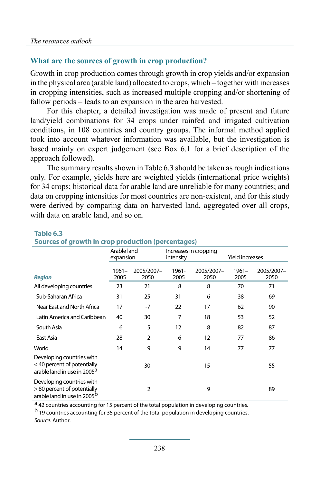### **What are the sources of growth in crop production?**

Growth in crop production comes through growth in crop yields and/or expansion in the physical area (arable land) allocated to crops, which – together with increases in cropping intensities, such as increased multiple cropping and/or shortening of fallow periods – leads to an expansion in the area harvested.

For this chapter, a detailed investigation was made of present and future land/yield combinations for 34 crops under rainfed and irrigated cultivation conditions, in 108 countries and country groups. The informal method applied took into account whatever information was available, but the investigation is based mainly on expert judgement (see Box 6.1 for a brief description of the approach followed).

The summary results shown in Table 6.3 should be taken as rough indications only. For example, yields here are weighted yields (international price weights) for 34 crops; historical data for arable land are unreliable for many countries; and data on cropping intensities for most countries are non-existent, and for this study were derived by comparing data on harvested land, aggregated over all crops, with data on arable land, and so on.

|                                                                                                     | Arable land<br>expansion |                    | intensity     | Increases in cropping | <b>Yield increases</b> |                    |
|-----------------------------------------------------------------------------------------------------|--------------------------|--------------------|---------------|-----------------------|------------------------|--------------------|
| <b>Region</b>                                                                                       | 1961-<br>2005            | 2005/2007-<br>2050 | 1961-<br>2005 | 2005/2007-<br>2050    | $1961 -$<br>2005       | 2005/2007-<br>2050 |
| All developing countries                                                                            | 23                       | 21                 | 8             | 8                     | 70                     | 71                 |
| Sub-Saharan Africa                                                                                  | 31                       | 25                 | 31            | 6                     | 38                     | 69                 |
| Near East and North Africa                                                                          | 17                       | $-7$               | 22            | 17                    | 62                     | 90                 |
| Latin America and Caribbean                                                                         | 40                       | 30                 | 7             | 18                    | 53                     | 52                 |
| South Asia                                                                                          | 6                        | 5                  | 12            | 8                     | 82                     | 87                 |
| East Asia                                                                                           | 28                       | $\overline{2}$     | -6            | 12                    | 77                     | 86                 |
| World                                                                                               | 14                       | 9                  | 9             | 14                    | 77                     | 77                 |
| Developing countries with<br>< 40 percent of potentially<br>arable land in use in 2005 <sup>a</sup> |                          | 30                 |               | 15                    |                        | 55                 |
| Developing countries with<br>> 80 percent of potentially<br>arable land in use in 2005 <sup>b</sup> |                          | 2                  |               | 9                     |                        | 89                 |

#### **Table 6.3**

#### **Sources of growth in crop production (percentages)**

<sup>a</sup> 42 countries accounting for 15 percent of the total population in developing countries.

b 19 countries accounting for 35 percent of the total population in developing countries.

*Source:* Author.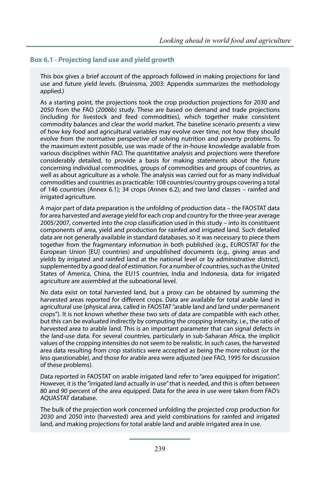#### **Box 6.1 - Projecting land use and yield growth**

This box gives a brief account of the approach followed in making projections for land use and future yield levels. (Bruinsma, 2003: Appendix summarizes the methodology applied.)

As a starting point, the projections took the crop production projections for 2030 and 2050 from the FAO (2006b) study. These are based on demand and trade projections (including for livestock and feed commodities), which together make consistent commodity balances and clear the world market. The baseline scenario presents a view of how key food and agricultural variables may evolve over time, not how they should evolve from the normative perspective of solving nutrition and poverty problems. To the maximum extent possible, use was made of the in-house knowledge available from various disciplines within FAO. The quantitative analysis and projections were therefore considerably detailed, to provide a basis for making statements about the future concerning individual commodities, groups of commodities and groups of countries, as well as about agriculture as a whole. The analysis was carried out for as many individual commodities and countries as practicable: 108 countries/country groups covering a total of 146 countries (Annex 6.1); 34 crops (Annex 6.2); and two land classes – rainfed and irrigated agriculture.

A major part of data preparation is the unfolding of production data – the FAOSTAT data for area harvested and average yield for each crop and country for the three-year average 2005/2007, converted into the crop classification used in this study – into its constituent components of area, yield and production for rainfed and irrigated land. Such detailed data are not generally available in standard databases, so it was necessary to piece them together from the fragmentary information in both published (e.g., EUROSTAT for the European Union [EU] countries) and unpublished documents (e.g., giving areas and yields by irrigated and rainfed land at the national level or by administrative district), supplemented by a good deal of estimation. For a number of countries, such as the United States of America, China, the EU15 countries, India and Indonesia, data for irrigated agriculture are assembled at the subnational level.

No data exist on total harvested land, but a proxy can be obtained by summing the harvested areas reported for different crops. Data are available for total arable land in agricultural use (physical area, called in FAOSTAT "arable land and land under permanent crops"). It is not known whether these two sets of data are compatible with each other, but this can be evaluated indirectly by computing the cropping intensity, i.e., the ratio of harvested area to arable land. This is an important parameter that can signal defects in the land-use data. For several countries, particularly in sub-Saharan Africa, the implicit values of the cropping intensities do not seem to be realistic. In such cases, the harvested area data resulting from crop statistics were accepted as being the more robust (or the less questionable), and those for arable area were adjusted (see FAO, 1995 for discussion of these problems).

Data reported in FAOSTAT on arable irrigated land refer to "area equipped for irrigation". However, it is the "irrigated land actually in use" that is needed, and this is often between 80 and 90 percent of the area equipped. Data for the area in use were taken from FAO's AQUASTAT database.

The bulk of the projection work concerned unfolding the projected crop production for 2030 and 2050 into (harvested) area and yield combinations for rainfed and irrigated land, and making projections for total arable land and arable irrigated area in use.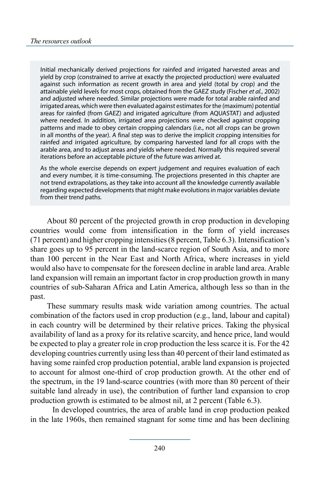Initial mechanically derived projections for rainfed and irrigated harvested areas and yield by crop (constrained to arrive at exactly the projected production) were evaluated against such information as recent growth in area and yield (total by crop) and the attainable yield levels for most crops, obtained from the GAEZ study (Fischer *et al.*, 2002) and adjusted where needed. Similar projections were made for total arable rainfed and irrigated areas, which were then evaluated against estimates for the (maximum) potential areas for rainfed (from GAEZ) and irrigated agriculture (from AQUASTAT) and adjusted where needed. In addition, irrigated area projections were checked against cropping patterns and made to obey certain cropping calendars (i.e., not all crops can be grown in all months of the year). A final step was to derive the implicit cropping intensities for rainfed and irrigated agriculture, by comparing harvested land for all crops with the arable area, and to adjust areas and yields where needed. Normally this required several iterations before an acceptable picture of the future was arrived at.

As the whole exercise depends on expert judgement and requires evaluation of each and every number, it is time-consuming. The projections presented in this chapter are not trend extrapolations, as they take into account all the knowledge currently available regarding expected developments that might make evolutions in major variables deviate from their trend paths.

About 80 percent of the projected growth in crop production in developing countries would come from intensification in the form of yield increases (71 percent) and higher cropping intensities (8 percent, Table 6.3). Intensification's share goes up to 95 percent in the land-scarce region of South Asia, and to more than 100 percent in the Near East and North Africa, where increases in yield would also have to compensate for the foreseen decline in arable land area. Arable land expansion will remain an important factor in crop production growth in many countries of sub-Saharan Africa and Latin America, although less so than in the past.

These summary results mask wide variation among countries. The actual combination of the factors used in crop production (e.g., land, labour and capital) in each country will be determined by their relative prices. Taking the physical availability of land as a proxy for its relative scarcity, and hence price, land would be expected to play a greater role in crop production the less scarce it is. For the 42 developing countries currently using less than 40 percent of their land estimated as having some rainfed crop production potential, arable land expansion is projected to account for almost one-third of crop production growth. At the other end of the spectrum, in the 19 land-scarce countries (with more than 80 percent of their suitable land already in use), the contribution of further land expansion to crop production growth is estimated to be almost nil, at 2 percent (Table 6.3).

In developed countries, the area of arable land in crop production peaked in the late 1960s, then remained stagnant for some time and has been declining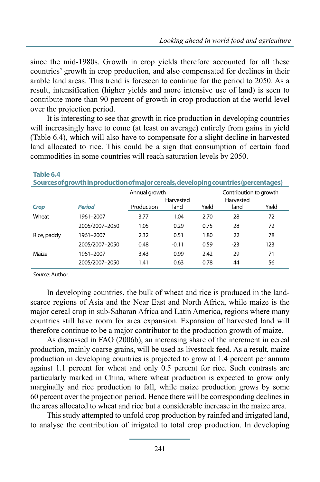since the mid-1980s. Growth in crop yields therefore accounted for all these countries' growth in crop production, and also compensated for declines in their arable land areas. This trend is foreseen to continue for the period to 2050. As a result, intensification (higher yields and more intensive use of land) is seen to contribute more than 90 percent of growth in crop production at the world level over the projection period.

It is interesting to see that growth in rice production in developing countries will increasingly have to come (at least on average) entirely from gains in yield (Table 6.4), which will also have to compensate for a slight decline in harvested land allocated to rice. This could be a sign that consumption of certain food commodities in some countries will reach saturation levels by 2050.

|             | <u>Sources or growth improduction of major cereals, developmig countries (percentages)</u> |               |           |       |                        |       |
|-------------|--------------------------------------------------------------------------------------------|---------------|-----------|-------|------------------------|-------|
|             |                                                                                            | Annual growth |           |       | Contribution to growth |       |
|             |                                                                                            |               | Harvested |       | Harvested              |       |
| <b>Crop</b> | <b>Period</b>                                                                              | Production    | land      | Yield | land                   | Yield |
| Wheat       | 1961-2007                                                                                  | 3.77          | 1.04      | 2.70  | 28                     | 72    |
|             | 2005/2007-2050                                                                             | 1.05          | 0.29      | 0.75  | 28                     | 72    |
| Rice, paddy | 1961-2007                                                                                  | 2.32          | 0.51      | 1.80  | 22                     | 78    |
|             | 2005/2007-2050                                                                             | 0.48          | $-0.11$   | 0.59  | $-23$                  | 123   |
| Maize       | 1961-2007                                                                                  | 3.43          | 0.99      | 2.42  | 29                     | 71    |
|             | 2005/2007-2050                                                                             | 1.41          | 0.63      | 0.78  | 44                     | 56    |

**Table 6.4**

**Sources of growth in production of major cereals, developing countries (percentages)**

*Source:* Author.

In developing countries, the bulk of wheat and rice is produced in the landscarce regions of Asia and the Near East and North Africa, while maize is the major cereal crop in sub-Saharan Africa and Latin America, regions where many countries still have room for area expansion. Expansion of harvested land will therefore continue to be a major contributor to the production growth of maize.

As discussed in FAO (2006b), an increasing share of the increment in cereal production, mainly coarse grains, will be used as livestock feed. As a result, maize production in developing countries is projected to grow at 1.4 percent per annum against 1.1 percent for wheat and only 0.5 percent for rice. Such contrasts are particularly marked in China, where wheat production is expected to grow only marginally and rice production to fall, while maize production grows by some 60 percent over the projection period. Hence there will be corresponding declines in the areas allocated to wheat and rice but a considerable increase in the maize area.

This study attempted to unfold crop production by rainfed and irrigated land, to analyse the contribution of irrigated to total crop production. In developing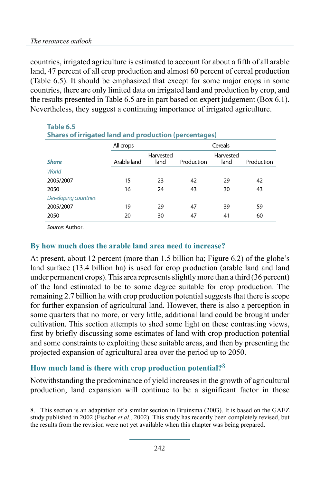countries, irrigated agriculture is estimated to account for about a fifth of all arable land, 47 percent of all crop production and almost 60 percent of cereal production (Table 6.5). It should be emphasized that except for some major crops in some countries, there are only limited data on irrigated land and production by crop, and the results presented in Table 6.5 are in part based on expert judgement (Box 6.1). Nevertheless, they suggest a continuing importance of irrigated agriculture.

| Table 6.5                                                    |             |           |            |           |            |
|--------------------------------------------------------------|-------------|-----------|------------|-----------|------------|
| <b>Shares of irrigated land and production (percentages)</b> |             |           |            |           |            |
|                                                              | All crops   |           |            | Cereals   |            |
|                                                              |             | Harvested |            | Harvested |            |
| <b>Share</b>                                                 | Arable land | land      | Production | land      | Production |
| World                                                        |             |           |            |           |            |
| 2005/2007                                                    | 15          | 23        | 42         | 29        | 42         |
| 2050                                                         | 16          | 24        | 43         | 30        | 43         |
| Developing countries                                         |             |           |            |           |            |
| 2005/2007                                                    | 19          | 29        | 47         | 39        | 59         |
| 2050                                                         | 20          | 30        | 47         | 41        | 60         |

*Source:* Author.

### **By how much does the arable land area need to increase?**

At present, about 12 percent (more than 1.5 billion ha; Figure 6.2) of the globe's land surface (13.4 billion ha) is used for crop production (arable land and land under permanent crops). This area represents slightly more than a third (36 percent) of the land estimated to be to some degree suitable for crop production. The remaining 2.7 billion ha with crop production potential suggests that there is scope for further expansion of agricultural land. However, there is also a perception in some quarters that no more, or very little, additional land could be brought under cultivation. This section attempts to shed some light on these contrasting views, first by briefly discussing some estimates of land with crop production potential and some constraints to exploiting these suitable areas, and then by presenting the projected expansion of agricultural area over the period up to 2050.

### **How much land is there with crop production potential?**8

Notwithstanding the predominance of yield increases in the growth of agricultural production, land expansion will continue to be a significant factor in those

<sup>8.</sup> This section is an adaptation of a similar section in Bruinsma (2003). It is based on the GAEZ study published in 2002 (Fischer *et al.*, 2002). This study has recently been completely revised, but the results from the revision were not yet available when this chapter was being prepared.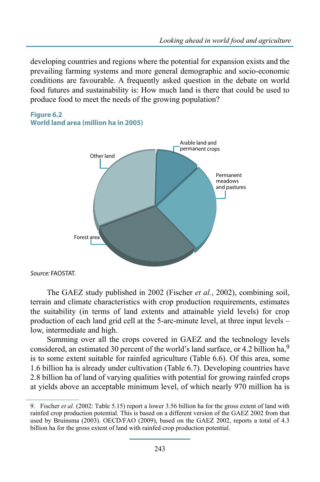developing countries and regions where the potential for expansion exists and the prevailing farming systems and more general demographic and socio-economic conditions are favourable. A frequently asked question in the debate on world food futures and sustainability is: How much land is there that could be used to produce food to meet the needs of the growing population?



**Figure 6.2 World land area (million ha in 2005)**

*Source:* FAOSTAT.

The GAEZ study published in 2002 (Fischer *et al.*, 2002), combining soil, terrain and climate characteristics with crop production requirements, estimates the suitability (in terms of land extents and attainable yield levels) for crop production of each land grid cell at the 5-arc-minute level, at three input levels – low, intermediate and high.

Summing over all the crops covered in GAEZ and the technology levels considered, an estimated 30 percent of the world's land surface, or 4.2 billion ha,<sup>9</sup> is to some extent suitable for rainfed agriculture (Table 6.6). Of this area, some 1.6 billion ha is already under cultivation (Table 6.7). Developing countries have 2.8 billion ha of land of varying qualities with potential for growing rainfed crops at yields above an acceptable minimum level, of which nearly 970 million ha is

<sup>9.</sup> Fischer *et al.* (2002: Table 5.15) report a lower 3.56 billion ha for the gross extent of land with rainfed crop production potential. This is based on a different version of the GAEZ 2002 from that used by Bruinsma (2003). OECD/FAO (2009), based on the GAEZ 2002, reports a total of 4.3 billion ha for the gross extent of land with rainfed crop production potential.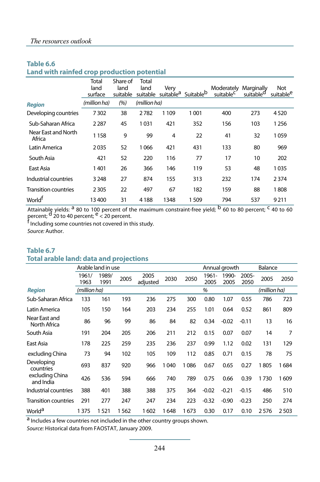### **Table 6.6**

**Land with rainfed crop production potential**

|                               | Total<br>land<br>surface | Share of<br>land<br>suitable | Total<br>land<br>suitable | Very<br>suitable <sup>a</sup> | Suitable <sup>b</sup> | Moderately Marginally<br>suitable <sup>C</sup> | suitable <sup>d</sup> | Not<br>suitable <sup>e</sup> |
|-------------------------------|--------------------------|------------------------------|---------------------------|-------------------------------|-----------------------|------------------------------------------------|-----------------------|------------------------------|
| <b>Region</b>                 | (million ha)             | (%)                          | (million ha)              |                               |                       |                                                |                       |                              |
| Developing countries          | 7302                     | 38                           | 2782                      | 1 1 0 9                       | 1001                  | 400                                            | 273                   | 4520                         |
| Sub-Saharan Africa            | 2 2 8 7                  | 45                           | 1031                      | 421                           | 352                   | 156                                            | 103                   | 1256                         |
| Near East and North<br>Africa | 1158                     | 9                            | 99                        | 4                             | 22                    | 41                                             | 32                    | 1059                         |
| Latin America                 | 2035                     | 52                           | 1066                      | 421                           | 431                   | 133                                            | 80                    | 969                          |
| South Asia                    | 421                      | 52                           | 220                       | 116                           | 77                    | 17                                             | 10                    | 202                          |
| East Asia                     | 1401                     | 26                           | 366                       | 146                           | 119                   | 53                                             | 48                    | 1035                         |
| Industrial countries          | 3 2 4 8                  | 27                           | 874                       | 155                           | 313                   | 232                                            | 174                   | 2374                         |
| <b>Transition countries</b>   | 2 3 0 5                  | 22                           | 497                       | 67                            | 182                   | 159                                            | 88                    | 1808                         |
| World <sup>t</sup>            | 13 400                   | 31                           | 4 1 8 8                   | 1348                          | 1509                  | 794                                            | 537                   | 9211                         |

Attainable yields: <sup>a</sup> 80 to 100 percent of the maximum constraint-free yield; <sup>b</sup> 60 to 80 percent; <sup>c</sup> 40 to 60 percent; <sup>d</sup> 20 to 40 percent; <sup>e</sup> < 20 percent.<br><sup>f</sup> Including some countries not covered in this study.

*Source:* Author.

#### **Table 6.7 Total arable land: data and projections**

|                               |               | Arable land in use |      |                  |      |          |               | Annual growth |               | Balance      |      |
|-------------------------------|---------------|--------------------|------|------------------|------|----------|---------------|---------------|---------------|--------------|------|
|                               | 1961/<br>1963 | 1989/<br>1991      | 2005 | 2005<br>adjusted | 2030 | 2050     | 1961-<br>2005 | 1990-<br>2005 | 2005-<br>2050 | 2005         | 2050 |
| <b>Region</b>                 | (million ha)  |                    |      |                  |      |          | %             |               |               | (million ha) |      |
| Sub-Saharan Africa            | 133           | 161                | 193  | 236              | 275  | 300      | 0.80          | 1.07          | 0.55          | 786          | 723  |
| Latin America                 | 105           | 150                | 164  | 203              | 234  | 255      | 1.01          | 0.64          | 0.52          | 861          | 809  |
| Near East and<br>North Africa | 86            | 96                 | 99   | 86               | 84   | 82       | 0.34          | $-0.02$       | $-0.11$       | 13           | 16   |
| South Asia                    | 191           | 204                | 205  | 206              | 211  | 212      | 0.15          | 0.07          | 0.07          | 14           | 7    |
| East Asia                     | 178           | 225                | 259  | 235              | 236  | 237      | 0.99          | 1.12          | 0.02          | 131          | 129  |
| excluding China               | 73            | 94                 | 102  | 105              | 109  | 112      | 0.85          | 0.71          | 0.15          | 78           | 75   |
| Developing<br>countries       | 693           | 837                | 920  | 966              | 1040 | 086<br>1 | 0.67          | 0.65          | 0.27          | 1805         | 1684 |
| excluding China<br>and India  | 426           | 536                | 594  | 666              | 740  | 789      | 0.75          | 0.66          | 0.39          | 1730         | 1609 |
| Industrial countries          | 388           | 401                | 388  | 388              | 375  | 364      | $-0.02$       | $-0.21$       | $-0.15$       | 486          | 510  |
| <b>Transition countries</b>   | 291           | 277                | 247  | 247              | 234  | 223      | $-0.32$       | $-0.90$       | $-0.23$       | 250          | 274  |
| World <sup>a</sup>            | 1375          | 1 521              | 1562 | 1602             | 1648 | 673      | 0.30          | 0.17          | 0.10          | 2576         | 2503 |

a Includes a few countries not included in the other country groups shown.

*Source:* Historical data from FAOSTAT, January 2009.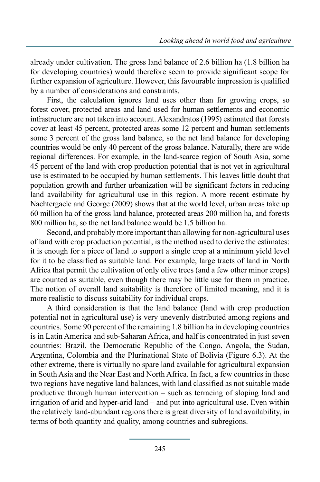already under cultivation. The gross land balance of 2.6 billion ha (1.8 billion ha for developing countries) would therefore seem to provide significant scope for further expansion of agriculture. However, this favourable impression is qualified by a number of considerations and constraints.

First, the calculation ignores land uses other than for growing crops, so forest cover, protected areas and land used for human settlements and economic infrastructure are not taken into account. Alexandratos (1995) estimated that forests cover at least 45 percent, protected areas some 12 percent and human settlements some 3 percent of the gross land balance, so the net land balance for developing countries would be only 40 percent of the gross balance. Naturally, there are wide regional differences. For example, in the land-scarce region of South Asia, some 45 percent of the land with crop production potential that is not yet in agricultural use is estimated to be occupied by human settlements. This leaves little doubt that population growth and further urbanization will be significant factors in reducing land availability for agricultural use in this region. A more recent estimate by Nachtergaele and George (2009) shows that at the world level, urban areas take up 60 million ha of the gross land balance, protected areas 200 million ha, and forests 800 million ha, so the net land balance would be 1.5 billion ha.

Second, and probably more important than allowing for non-agricultural uses of land with crop production potential, is the method used to derive the estimates: it is enough for a piece of land to support a single crop at a minimum yield level for it to be classified as suitable land. For example, large tracts of land in North Africa that permit the cultivation of only olive trees (and a few other minor crops) are counted as suitable, even though there may be little use for them in practice. The notion of overall land suitability is therefore of limited meaning, and it is more realistic to discuss suitability for individual crops.

A third consideration is that the land balance (land with crop production potential not in agricultural use) is very unevenly distributed among regions and countries. Some 90 percent of the remaining 1.8 billion ha in developing countries is in Latin America and sub-Saharan Africa, and half is concentrated in just seven countries: Brazil, the Democratic Republic of the Congo, Angola, the Sudan, Argentina, Colombia and the Plurinational State of Bolivia (Figure 6.3). At the other extreme, there is virtually no spare land available for agricultural expansion in South Asia and the Near East and North Africa. In fact, a few countries in these two regions have negative land balances, with land classified as not suitable made productive through human intervention – such as terracing of sloping land and irrigation of arid and hyper-arid land – and put into agricultural use. Even within the relatively land-abundant regions there is great diversity of land availability, in terms of both quantity and quality, among countries and subregions.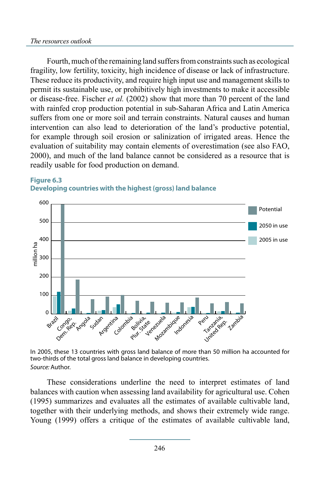Fourth, much of the remaining land suffers from constraints such as ecological fragility, low fertility, toxicity, high incidence of disease or lack of infrastructure. These reduce its productivity, and require high input use and management skills to permit its sustainable use, or prohibitively high investments to make it accessible or disease-free. Fischer *et al.* (2002) show that more than 70 percent of the land with rainfed crop production potential in sub-Saharan Africa and Latin America suffers from one or more soil and terrain constraints. Natural causes and human intervention can also lead to deterioration of the land's productive potential, for example through soil erosion or salinization of irrigated areas. Hence the evaluation of suitability may contain elements of overestimation (see also FAO, 2000), and much of the land balance cannot be considered as a resource that is readily usable for food production on demand.



### **Figure 6.3 Developing countries with the highest (gross) land balance**

In 2005, these 13 countries with gross land balance of more than 50 million ha accounted for two-thirds of the total gross land balance in developing countries. *Source:* Author.

These considerations underline the need to interpret estimates of land balances with caution when assessing land availability for agricultural use. Cohen (1995) summarizes and evaluates all the estimates of available cultivable land, together with their underlying methods, and shows their extremely wide range. Young (1999) offers a critique of the estimates of available cultivable land,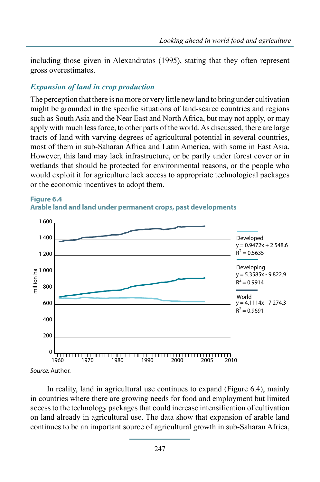including those given in Alexandratos (1995), stating that they often represent gross overestimates.

### *Expansion of land in crop production*

The perception that there is no more or very little new land to bring under cultivation might be grounded in the specific situations of land-scarce countries and regions such as South Asia and the Near East and North Africa, but may not apply, or may apply with much less force, to other parts of the world. As discussed, there are large tracts of land with varying degrees of agricultural potential in several countries, most of them in sub-Saharan Africa and Latin America, with some in East Asia. However, this land may lack infrastructure, or be partly under forest cover or in wetlands that should be protected for environmental reasons, or the people who would exploit it for agriculture lack access to appropriate technological packages or the economic incentives to adopt them.





*Source:* Author.

In reality, land in agricultural use continues to expand (Figure 6.4), mainly in countries where there are growing needs for food and employment but limited access to the technology packages that could increase intensification of cultivation on land already in agricultural use. The data show that expansion of arable land continues to be an important source of agricultural growth in sub-Saharan Africa,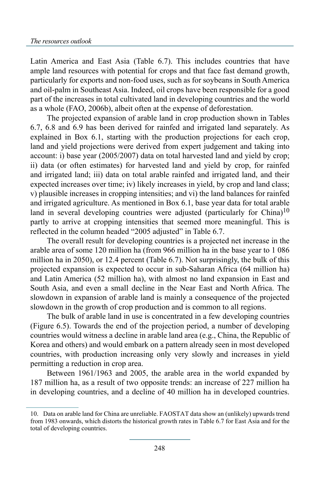Latin America and East Asia (Table 6.7). This includes countries that have ample land resources with potential for crops and that face fast demand growth, particularly for exports and non-food uses, such as for soybeans in South America and oil-palm in Southeast Asia. Indeed, oil crops have been responsible for a good part of the increases in total cultivated land in developing countries and the world as a whole (FAO, 2006b), albeit often at the expense of deforestation.

The projected expansion of arable land in crop production shown in Tables 6.7, 6.8 and 6.9 has been derived for rainfed and irrigated land separately. As explained in Box 6.1, starting with the production projections for each crop, land and yield projections were derived from expert judgement and taking into account: i) base year (2005/2007) data on total harvested land and yield by crop; ii) data (or often estimates) for harvested land and yield by crop, for rainfed and irrigated land; iii) data on total arable rainfed and irrigated land, and their expected increases over time; iv) likely increases in yield, by crop and land class; v) plausible increases in cropping intensities; and vi) the land balances for rainfed and irrigated agriculture. As mentioned in Box 6.1, base year data for total arable land in several developing countries were adjusted (particularly for China)<sup>10</sup> partly to arrive at cropping intensities that seemed more meaningful. This is reflected in the column headed "2005 adjusted" in Table 6.7.

The overall result for developing countries is a projected net increase in the arable area of some 120 million ha (from 966 million ha in the base year to 1 086 million ha in 2050), or 12.4 percent (Table 6.7). Not surprisingly, the bulk of this projected expansion is expected to occur in sub-Saharan Africa (64 million ha) and Latin America (52 million ha), with almost no land expansion in East and South Asia, and even a small decline in the Near East and North Africa. The slowdown in expansion of arable land is mainly a consequence of the projected slowdown in the growth of crop production and is common to all regions.

The bulk of arable land in use is concentrated in a few developing countries (Figure 6.5). Towards the end of the projection period, a number of developing countries would witness a decline in arable land area (e.g., China, the Republic of Korea and others) and would embark on a pattern already seen in most developed countries, with production increasing only very slowly and increases in yield permitting a reduction in crop area.

Between 1961/1963 and 2005, the arable area in the world expanded by 187 million ha, as a result of two opposite trends: an increase of 227 million ha in developing countries, and a decline of 40 million ha in developed countries.

<sup>10.</sup> Data on arable land for China are unreliable. FAOSTAT data show an (unlikely) upwards trend from 1983 onwards, which distorts the historical growth rates in Table 6.7 for East Asia and for the total of developing countries.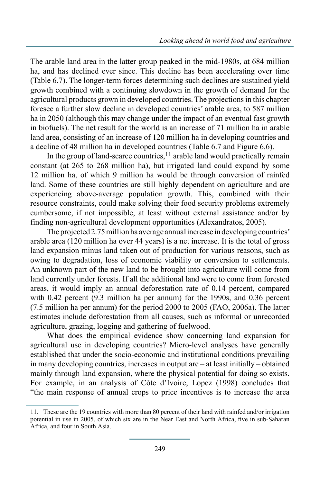The arable land area in the latter group peaked in the mid-1980s, at 684 million ha, and has declined ever since. This decline has been accelerating over time (Table 6.7). The longer-term forces determining such declines are sustained yield growth combined with a continuing slowdown in the growth of demand for the agricultural products grown in developed countries. The projections in this chapter foresee a further slow decline in developed countries' arable area, to 587 million ha in 2050 (although this may change under the impact of an eventual fast growth in biofuels). The net result for the world is an increase of 71 million ha in arable land area, consisting of an increase of 120 million ha in developing countries and a decline of 48 million ha in developed countries (Table 6.7 and Figure 6.6).

In the group of land-scarce countries,  $11$  arable land would practically remain constant (at 265 to 268 million ha), but irrigated land could expand by some 12 million ha, of which 9 million ha would be through conversion of rainfed land. Some of these countries are still highly dependent on agriculture and are experiencing above-average population growth. This, combined with their resource constraints, could make solving their food security problems extremely cumbersome, if not impossible, at least without external assistance and/or by finding non-agricultural development opportunities (Alexandratos, 2005).

The projected 2.75 million ha average annual increase in developing countries' arable area (120 million ha over 44 years) is a net increase. It is the total of gross land expansion minus land taken out of production for various reasons, such as owing to degradation, loss of economic viability or conversion to settlements. An unknown part of the new land to be brought into agriculture will come from land currently under forests. If all the additional land were to come from forested areas, it would imply an annual deforestation rate of 0.14 percent, compared with 0.42 percent (9.3 million ha per annum) for the 1990s, and 0.36 percent (7.5 million ha per annum) for the period 2000 to 2005 (FAO, 2006a). The latter estimates include deforestation from all causes, such as informal or unrecorded agriculture, grazing, logging and gathering of fuelwood.

What does the empirical evidence show concerning land expansion for agricultural use in developing countries? Micro-level analyses have generally established that under the socio-economic and institutional conditions prevailing in many developing countries, increases in output are – at least initially – obtained mainly through land expansion, where the physical potential for doing so exists. For example, in an analysis of Côte d'Ivoire, Lopez (1998) concludes that "the main response of annual crops to price incentives is to increase the area

<sup>11.</sup> These are the 19 countries with more than 80 percent of their land with rainfed and/or irrigation potential in use in 2005, of which six are in the Near East and North Africa, five in sub-Saharan Africa, and four in South Asia.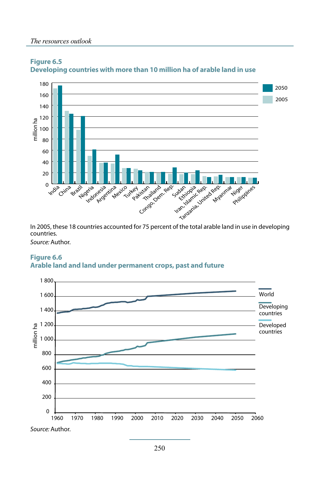

#### **Figure 6.5 Developing countries with more than 10 million ha of arable land in use**

In 2005, these 18 countries accounted for 75 percent of the total arable land in use in developing countries.

*Source:* Author.



#### **Figure 6.6 Arable land and land under permanent crops, past and future**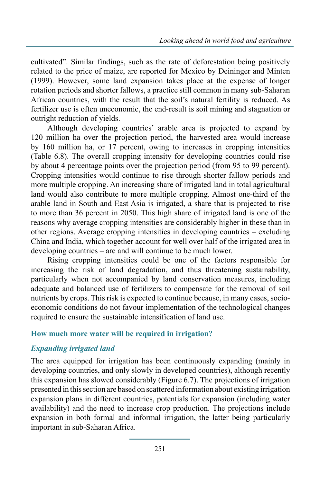cultivated". Similar findings, such as the rate of deforestation being positively related to the price of maize, are reported for Mexico by Deininger and Minten (1999). However, some land expansion takes place at the expense of longer rotation periods and shorter fallows, a practice still common in many sub-Saharan African countries, with the result that the soil's natural fertility is reduced. As fertilizer use is often uneconomic, the end-result is soil mining and stagnation or outright reduction of yields.

Although developing countries' arable area is projected to expand by 120 million ha over the projection period, the harvested area would increase by 160 million ha, or 17 percent, owing to increases in cropping intensities (Table 6.8). The overall cropping intensity for developing countries could rise by about 4 percentage points over the projection period (from 95 to 99 percent). Cropping intensities would continue to rise through shorter fallow periods and more multiple cropping. An increasing share of irrigated land in total agricultural land would also contribute to more multiple cropping. Almost one-third of the arable land in South and East Asia is irrigated, a share that is projected to rise to more than 36 percent in 2050. This high share of irrigated land is one of the reasons why average cropping intensities are considerably higher in these than in other regions. Average cropping intensities in developing countries – excluding China and India, which together account for well over half of the irrigated area in developing countries – are and will continue to be much lower.

Rising cropping intensities could be one of the factors responsible for increasing the risk of land degradation, and thus threatening sustainability, particularly when not accompanied by land conservation measures, including adequate and balanced use of fertilizers to compensate for the removal of soil nutrients by crops. This risk is expected to continue because, in many cases, socioeconomic conditions do not favour implementation of the technological changes required to ensure the sustainable intensification of land use.

### **How much more water will be required in irrigation?**

### *Expanding irrigated land*

The area equipped for irrigation has been continuously expanding (mainly in developing countries, and only slowly in developed countries), although recently this expansion has slowed considerably (Figure 6.7). The projections of irrigation presented in this section are based on scattered information about existing irrigation expansion plans in different countries, potentials for expansion (including water availability) and the need to increase crop production. The projections include expansion in both formal and informal irrigation, the latter being particularly important in sub-Saharan Africa.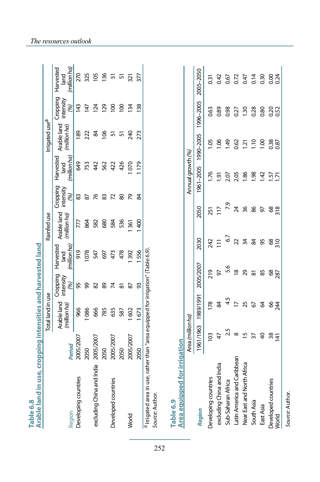| Arable land in use, cropping intensities and harvested land<br>Table 6.8 |                   |                            |                              |                                  |                             |                              |                                   |                             |                              |                                  |
|--------------------------------------------------------------------------|-------------------|----------------------------|------------------------------|----------------------------------|-----------------------------|------------------------------|-----------------------------------|-----------------------------|------------------------------|----------------------------------|
|                                                                          |                   | Total land in use          |                              |                                  | Rainfed use                 |                              |                                   | Irrigated use <sup>a</sup>  |                              |                                  |
| Region                                                                   | Period            | Arable land<br>(millionha) | Cropping<br>intensity<br>(%) | (million ha<br>Harvested<br>land | Arable land<br>(million ha) | Cropping<br>intensity<br>(%) | (million ha)<br>Harvested<br>land | Arable land<br>(million ha) | Cropping<br>intensity<br>(%) | (million ha<br>Harvested<br>land |
| Developing countries                                                     | 2005/2007         | 966                        | 95                           | 919                              | 777                         | 83                           | 649                               | 89                          | 143                          | 270                              |
|                                                                          | 2050              | 1086                       | இ                            | 1078                             | 864                         | $87\,$                       | 753                               | 222                         | 147                          | 325                              |
| excluding China and India                                                | 2005/2007         | 666                        | 82                           | 547                              | 582                         | 76                           | 442                               | $\mathfrak{A}$              | 124                          | 105                              |
|                                                                          | 2050              | 785                        | 89                           | 697                              | 680                         | 83                           | 562                               | $\overline{6}$              | 129                          | 136                              |
| Developed countries                                                      | 2005/2007         | 635                        | $\overline{\mathcal{K}}$     | 473                              | 584                         | $\overline{z}$               | 422                               | 5                           | $\overline{0}$               | 51                               |
|                                                                          | 2050              | 587                        | 5                            | 478                              | 536                         | 80                           | 426                               | 57                          | $\overline{0}$               | ភ                                |
| World                                                                    | 2005/2007         | 1602                       | 87                           | 392                              | 361                         | 2                            | 070                               | 240                         | 134                          | 321                              |
|                                                                          | 2050              | 1673                       | 33                           | 556                              | 400                         | \$                           | <b>P41</b>                        | 273                         | 138                          | 377                              |
| Area equipped for irrigation                                             | Area (million ha) |                            |                              |                                  |                             |                              | Annual growth (%)                 |                             |                              |                                  |
| Region                                                                   | 1961/1963         | 1989/1991                  | 2005/2007                    | 2030                             | 2050                        |                              | 1961-2005                         | 1990-2005                   | 1996-2005                    | 2005-2050                        |
| Developing countries                                                     | $\frac{2}{3}$     | 178                        | 219                          | 242                              |                             | 251                          | 1.76                              | <b>1.05</b>                 | 0.63                         | 0.31                             |
| excluding China and India                                                | 47                | S4                         | 50                           |                                  | $\overline{11}$             | 117                          | $\overline{9}$                    | 1.06                        | 0.89                         | 0.42                             |
| Sub-Saharan Africa                                                       | 2.5               | 4.5                        |                              | 5.6                              | 67                          | $\overline{2}$               | 2.07                              | 1.49                        | 0.98                         | 0.67                             |
| Latin America and Caribbean                                              | ${}^{\circ}$      | $\overline{1}$             |                              | $\frac{8}{2}$                    | 22                          | $\overline{24}$              | 2.05                              | 0.62                        | 0.27                         | 0.72                             |
| Near East and North Africa                                               | $\overline{1}$    | 25                         | 29                           |                                  | 34                          | 36                           | 1.86                              | $\overline{21}$             | 1.30                         | 0.47                             |
| South Asia                                                               | $\overline{37}$   | 5                          | $\overline{\infty}$          |                                  | \$                          | 86                           | 98                                | 1.10                        | 0.28                         | 0.14                             |
| East Asia                                                                | $\overline{6}$    | 8                          | 85                           |                                  | 95                          | 5                            | $\overline{a}$                    | 00.1                        | 0.80                         | 0.30                             |
| Developed countries<br>World                                             | $rac{38}{14}$     | 64                         | 68<br>287                    | $rac{68}{310}$                   |                             | $rac{68}{318}$               | $\frac{157}{2}$                   | 0.38                        | 0.52                         | 0.24                             |
|                                                                          |                   |                            |                              |                                  |                             |                              |                                   |                             |                              |                                  |

252

Source: Author. *Source:* Author.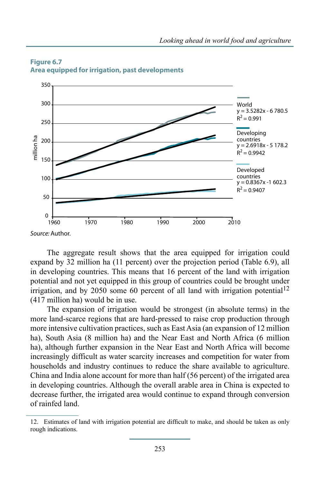

#### **Figure 6.7 Area equipped for irrigation, past developments**

The aggregate result shows that the area equipped for irrigation could expand by 32 million ha (11 percent) over the projection period (Table 6.9), all in developing countries. This means that 16 percent of the land with irrigation potential and not yet equipped in this group of countries could be brought under irrigation, and by 2050 some 60 percent of all land with irrigation potential<sup>12</sup> (417 million ha) would be in use.

The expansion of irrigation would be strongest (in absolute terms) in the more land-scarce regions that are hard-pressed to raise crop production through more intensive cultivation practices, such as East Asia (an expansion of 12 million ha), South Asia (8 million ha) and the Near East and North Africa (6 million ha), although further expansion in the Near East and North Africa will become increasingly difficult as water scarcity increases and competition for water from households and industry continues to reduce the share available to agriculture. China and India alone account for more than half (56 percent) of the irrigated area in developing countries. Although the overall arable area in China is expected to decrease further, the irrigated area would continue to expand through conversion of rainfed land.

<sup>12.</sup> Estimates of land with irrigation potential are difficult to make, and should be taken as only rough indications.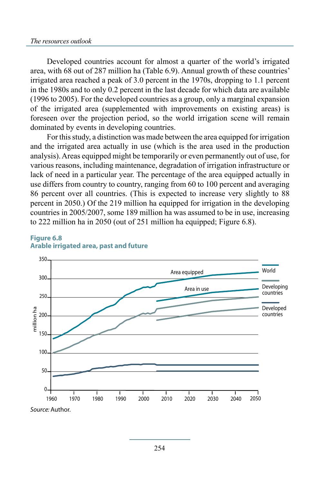#### *The resources outlook*

Developed countries account for almost a quarter of the world's irrigated area, with 68 out of 287 million ha (Table 6.9). Annual growth of these countries' irrigated area reached a peak of 3.0 percent in the 1970s, dropping to 1.1 percent in the 1980s and to only 0.2 percent in the last decade for which data are available (1996 to 2005). For the developed countries as a group, only a marginal expansion of the irrigated area (supplemented with improvements on existing areas) is foreseen over the projection period, so the world irrigation scene will remain dominated by events in developing countries.

For this study, a distinction was made between the area equipped for irrigation and the irrigated area actually in use (which is the area used in the production analysis). Areas equipped might be temporarily or even permanently out of use, for various reasons, including maintenance, degradation of irrigation infrastructure or lack of need in a particular year. The percentage of the area equipped actually in use differs from country to country, ranging from 60 to 100 percent and averaging 86 percent over all countries. (This is expected to increase very slightly to 88 percent in 2050.) Of the 219 million ha equipped for irrigation in the developing countries in 2005/2007, some 189 million ha was assumed to be in use, increasing to 222 million ha in 2050 (out of 251 million ha equipped; Figure 6.8).



#### **Figure 6.8 Arable irrigated area, past and future**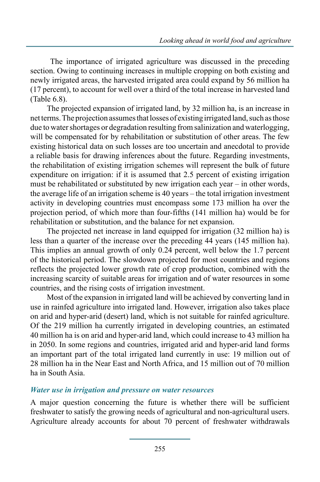The importance of irrigated agriculture was discussed in the preceding section. Owing to continuing increases in multiple cropping on both existing and newly irrigated areas, the harvested irrigated area could expand by 56 million ha (17 percent), to account for well over a third of the total increase in harvested land (Table 6.8).

The projected expansion of irrigated land, by 32 million ha, is an increase in net terms. The projection assumes that losses of existing irrigated land, such as those due to water shortages or degradation resulting from salinization and waterlogging, will be compensated for by rehabilitation or substitution of other areas. The few existing historical data on such losses are too uncertain and anecdotal to provide a reliable basis for drawing inferences about the future. Regarding investments, the rehabilitation of existing irrigation schemes will represent the bulk of future expenditure on irrigation: if it is assumed that 2.5 percent of existing irrigation must be rehabilitated or substituted by new irrigation each year – in other words, the average life of an irrigation scheme is 40 years – the total irrigation investment activity in developing countries must encompass some 173 million ha over the projection period, of which more than four-fifths (141 million ha) would be for rehabilitation or substitution, and the balance for net expansion.

The projected net increase in land equipped for irrigation (32 million ha) is less than a quarter of the increase over the preceding 44 years (145 million ha). This implies an annual growth of only 0.24 percent, well below the 1.7 percent of the historical period. The slowdown projected for most countries and regions reflects the projected lower growth rate of crop production, combined with the increasing scarcity of suitable areas for irrigation and of water resources in some countries, and the rising costs of irrigation investment.

Most of the expansion in irrigated land will be achieved by converting land in use in rainfed agriculture into irrigated land. However, irrigation also takes place on arid and hyper-arid (desert) land, which is not suitable for rainfed agriculture. Of the 219 million ha currently irrigated in developing countries, an estimated 40 million ha is on arid and hyper-arid land, which could increase to 43 million ha in 2050. In some regions and countries, irrigated arid and hyper-arid land forms an important part of the total irrigated land currently in use: 19 million out of 28 million ha in the Near East and North Africa, and 15 million out of 70 million ha in South Asia.

### *Water use in irrigation and pressure on water resources*

A major question concerning the future is whether there will be sufficient freshwater to satisfy the growing needs of agricultural and non-agricultural users. Agriculture already accounts for about 70 percent of freshwater withdrawals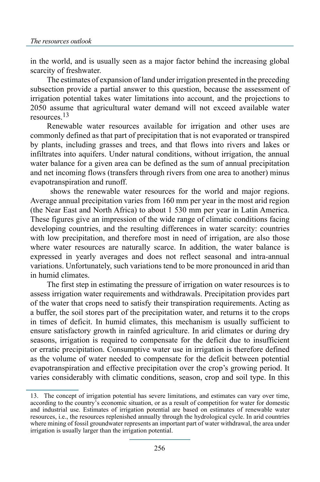in the world, and is usually seen as a major factor behind the increasing global scarcity of freshwater.

The estimates of expansion of land under irrigation presented in the preceding subsection provide a partial answer to this question, because the assessment of irrigation potential takes water limitations into account, and the projections to 2050 assume that agricultural water demand will not exceed available water resources.13

Renewable water resources available for irrigation and other uses are commonly defined as that part of precipitation that is not evaporated or transpired by plants, including grasses and trees, and that flows into rivers and lakes or infiltrates into aquifers. Under natural conditions, without irrigation, the annual water balance for a given area can be defined as the sum of annual precipitation and net incoming flows (transfers through rivers from one area to another) minus evapotranspiration and runoff.

 shows the renewable water resources for the world and major regions. Average annual precipitation varies from 160 mm per year in the most arid region (the Near East and North Africa) to about 1 530 mm per year in Latin America. These figures give an impression of the wide range of climatic conditions facing developing countries, and the resulting differences in water scarcity: countries with low precipitation, and therefore most in need of irrigation, are also those where water resources are naturally scarce. In addition, the water balance is expressed in yearly averages and does not reflect seasonal and intra-annual variations. Unfortunately, such variations tend to be more pronounced in arid than in humid climates.

The first step in estimating the pressure of irrigation on water resources is to assess irrigation water requirements and withdrawals. Precipitation provides part of the water that crops need to satisfy their transpiration requirements. Acting as a buffer, the soil stores part of the precipitation water, and returns it to the crops in times of deficit. In humid climates, this mechanism is usually sufficient to ensure satisfactory growth in rainfed agriculture. In arid climates or during dry seasons, irrigation is required to compensate for the deficit due to insufficient or erratic precipitation. Consumptive water use in irrigation is therefore defined as the volume of water needed to compensate for the deficit between potential evapotranspiration and effective precipitation over the crop's growing period. It varies considerably with climatic conditions, season, crop and soil type. In this

<sup>13.</sup> The concept of irrigation potential has severe limitations, and estimates can vary over time, according to the country's economic situation, or as a result of competition for water for domestic and industrial use. Estimates of irrigation potential are based on estimates of renewable water resources, i.e., the resources replenished annually through the hydrological cycle. In arid countries where mining of fossil groundwater represents an important part of water withdrawal, the area under irrigation is usually larger than the irrigation potential.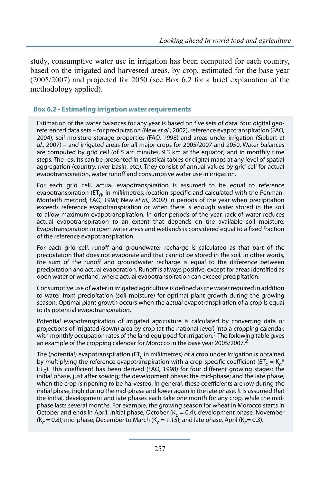study, consumptive water use in irrigation has been computed for each country, based on the irrigated and harvested areas, by crop, estimated for the base year (2005/2007) and projected for 2050 (see Box 6.2 for a brief explanation of the methodology applied).

#### **Box 6.2 - Estimating irrigation water requirements**

Estimation of the water balances for any year is based on five sets of data: four digital georeferenced data sets – for precipitation (New *et al.*, 2002), reference evapotranspiration (FAO, 2004), soil moisture storage properties (FAO, 1998) and areas under irrigation (Siebert *et al.*, 2007) – and irrigated areas for all major crops for 2005/2007 and 2050. Water balances are computed by grid cell (of 5 arc minutes, 9.3 km at the equator) and in monthly time steps. The results can be presented in statistical tables or digital maps at any level of spatial aggregation (country, river basin, etc.). They consist of annual values by grid cell for actual evapotranspiration, water runoff and consumptive water use in irrigation.

For each grid cell, actual evapotranspiration is assumed to be equal to reference evapotranspiration (ET<sub>0</sub>, in millimetres; location-specific and calculated with the Penman-Monteith method; FAO, 1998; New *et al.*, 2002) in periods of the year when precipitation exceeds reference evapotranspiration or when there is enough water stored in the soil to allow maximum evapotranspiration. In drier periods of the year, lack of water reduces actual evapotranspiration to an extent that depends on the available soil moisture. Evapotranspiration in open water areas and wetlands is considered equal to a fixed fraction of the reference evapotranspiration.

For each grid cell, runoff and groundwater recharge is calculated as that part of the precipitation that does not evaporate and that cannot be stored in the soil. In other words, the sum of the runoff and groundwater recharge is equal to the difference between precipitation and actual evaporation. Runoff is always positive, except for areas identified as open water or wetland, where actual evapotranspiration can exceed precipitation.

Consumptive use of water in irrigated agriculture is defined as the water required in addition to water from precipitation (soil moisture) for optimal plant growth during the growing season. Optimal plant growth occurs when the actual evapotranspiration of a crop is equal to its potential evapotranspiration.

Potential evapotranspiration of irrigated agriculture is calculated by converting data or projections of irrigated (sown) area by crop (at the national level) into a cropping calendar, with monthly occupation rates of the land equipped for irrigation.<sup>1</sup> The following table gives an example of the cropping calendar for Morocco in the base year 2005/2007.<sup>2</sup>

The (potential) evapotranspiration (ET<sub>c</sub> in millimetres) of a crop under irrigation is obtained by multiplying the reference evapotranspiration with a crop-specific coefficient (ET<sub>c</sub> = K<sub>c</sub><sup>\*</sup>  $ET_0$ ). This coefficient has been derived (FAO, 1998) for four different growing stages: the initial phase, just after sowing; the development phase; the mid-phase; and the late phase, when the crop is ripening to be harvested. In general, these coefficients are low during the initial phase, high during the mid-phase and lower again in the late phase. It is assumed that the initial, development and late phases each take one month for any crop, while the midphase lasts several months. For example, the growing season for wheat in Morocco starts in October and ends in April: initial phase, October ( $K_c = 0.4$ ); development phase, November (K<sub>c</sub> = 0.8); mid-phase, December to March (K<sub>c</sub> = 1.15); and late phase, April (K<sub>c</sub> = 0.3).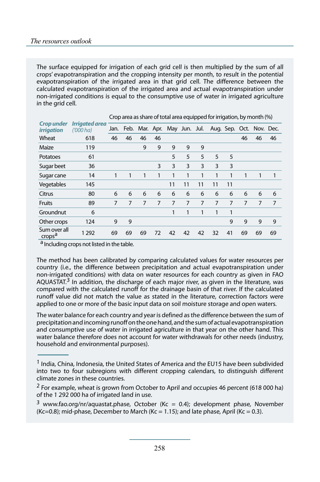The surface equipped for irrigation of each grid cell is then multiplied by the sum of all crops' evapotranspiration and the cropping intensity per month, to result in the potential evapotranspiration of the irrigated area in that grid cell. The difference between the calculated evapotranspiration of the irrigated area and actual evapotranspiration under non-irrigated conditions is equal to the consumptive use of water in irrigated agriculture in the grid cell.

|                                        |                              |      |    |    |    |                              |    | . . |    |    |    |                          |    |
|----------------------------------------|------------------------------|------|----|----|----|------------------------------|----|-----|----|----|----|--------------------------|----|
| <b>Crop under</b><br><i>irrigation</i> | Irrigated area<br>$(000)$ ha | Jan. |    |    |    | Feb. Mar. Apr. May Jun. Jul. |    |     |    |    |    | Aug. Sep. Oct. Nov. Dec. |    |
| Wheat                                  | 618                          | 46   | 46 | 46 | 46 |                              |    |     |    |    | 46 | 46                       | 46 |
| Maize                                  | 119                          |      |    | 9  | 9  | 9                            | 9  | 9   |    |    |    |                          |    |
| Potatoes                               | 61                           |      |    |    |    | 5                            | 5  | 5   | 5  | 5  |    |                          |    |
| Sugar beet                             | 36                           |      |    |    | 3  | 3                            | 3  | 3   | 3  | 3  |    |                          |    |
| Sugar cane                             | 14                           |      | 1  | 1  | 1  | 1                            | 1  | 1   | 1  | 1  | 1  | 1                        | 1  |
| Vegetables                             | 145                          |      |    |    |    | 11                           | 11 | 11  | 11 | 11 |    |                          |    |
| Citrus                                 | 80                           | 6    | 6  | 6  | 6  | 6                            | 6  | 6   | 6  | 6  | 6  | 6                        | 6  |
| Fruits                                 | 89                           | 7    | 7  | 7  | 7  | 7                            | 7  | 7   | 7  | 7  | 7  | 7                        | 7  |
| Groundnut                              | 6                            |      |    |    |    | 1                            | 1  | 1   | 1  | 1  |    |                          |    |
| Other crops                            | 124                          | 9    | 9  |    |    |                              |    |     |    | 9  | 9  | 9                        | 9  |
| Sum over all<br>crops <sup>a</sup>     | 1 2 9 2                      | 69   | 69 | 69 | 72 | 42                           | 42 | 42  | 32 | 41 | 69 | 69                       | 69 |

Crop area as share of total area equipped for irrigation, by month (%)

a Including crops not listed in the table.

The method has been calibrated by comparing calculated values for water resources per country (i.e., the difference between precipitation and actual evapotranspiration under non-irrigated conditions) with data on water resources for each country as given in FAO AQUASTAT.<sup>3</sup> In addition, the discharge of each major river, as given in the literature, was compared with the calculated runoff for the drainage basin of that river. If the calculated runoff value did not match the value as stated in the literature, correction factors were applied to one or more of the basic input data on soil moisture storage and open waters.

The water balance for each country and year is defined as the difference between the sum of precipitation and incoming runoff on the one hand, and the sum of actual evapotranspiration and consumptive use of water in irrigated agriculture in that year on the other hand. This water balance therefore does not account for water withdrawals for other needs (industry, household and environmental purposes).

<sup>&</sup>lt;sup>1</sup> India, China, Indonesia, the United States of America and the EU15 have been subdivided into two to four subregions with different cropping calendars, to distinguish different climate zones in these countries.

 $2$  For example, wheat is grown from October to April and occupies 46 percent (618 000 ha) of the 1 292 000 ha of irrigated land in use.

<sup>&</sup>lt;sup>3</sup> www.fao.org/nr/aquastat.phase, October (Kc = 0.4); development phase, November (Kc=0.8); mid-phase, December to March (Kc = 1.15); and late phase, April (Kc = 0.3).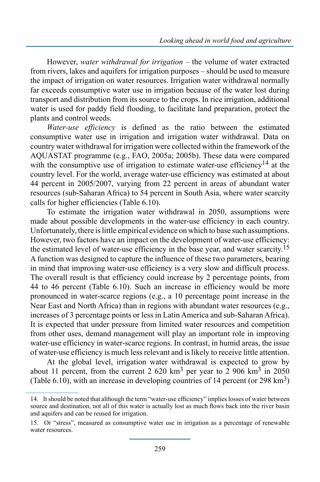However, *water withdrawal for irrigation* – the volume of water extracted from rivers, lakes and aquifers for irrigation purposes – should be used to measure the impact of irrigation on water resources. Irrigation water withdrawal normally far exceeds consumptive water use in irrigation because of the water lost during transport and distribution from its source to the crops. In rice irrigation, additional water is used for paddy field flooding, to facilitate land preparation, protect the plants and control weeds.

*Water-use efficiency* is defined as the ratio between the estimated consumptive water use in irrigation and irrigation water withdrawal. Data on country water withdrawal for irrigation were collected within the framework of the AQUASTAT programme (e.g., FAO, 2005a; 2005b). These data were compared with the consumptive use of irrigation to estimate water-use efficiency<sup>14</sup> at the country level. For the world, average water-use efficiency was estimated at about 44 percent in 2005/2007, varying from 22 percent in areas of abundant water resources (sub-Saharan Africa) to 54 percent in South Asia, where water scarcity calls for higher efficiencies (Table 6.10).

To estimate the irrigation water withdrawal in 2050, assumptions were made about possible developments in the water-use efficiency in each country. Unfortunately, there is little empirical evidence on which to base such assumptions. However, two factors have an impact on the development of water-use efficiency: the estimated level of water-use efficiency in the base year, and water scarcity.<sup>15</sup> A function was designed to capture the influence of these two parameters, bearing in mind that improving water-use efficiency is a very slow and difficult process. The overall result is that efficiency could increase by 2 percentage points, from 44 to 46 percent (Table 6.10). Such an increase in efficiency would be more pronounced in water-scarce regions (e.g., a 10 percentage point increase in the Near East and North Africa) than in regions with abundant water resources (e.g., increases of 3 percentage points or less in Latin America and sub-Saharan Africa). It is expected that under pressure from limited water resources and competition from other uses, demand management will play an important role in improving water-use efficiency in water-scarce regions. In contrast, in humid areas, the issue of water-use efficiency is much less relevant and is likely to receive little attention.

At the global level, irrigation water withdrawal is expected to grow by about 11 percent, from the current 2 620 km<sup>3</sup> per year to 2 906 km<sup>3</sup> in 2050 (Table 6.10), with an increase in developing countries of 14 percent (or 298 km3)

<sup>14.</sup> It should be noted that although the term "water-use efficiency" implies losses of water between source and destination, not all of this water is actually lost as much flows back into the river basin and aquifers and can be reused for irrigation.

<sup>15.</sup> Or "stress", measured as consumptive water use in irrigation as a percentage of renewable water resources.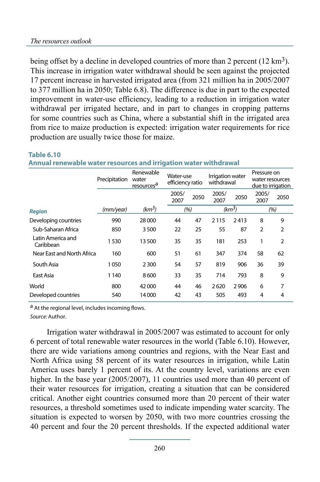being offset by a decline in developed countries of more than 2 percent  $(12 \text{ km}^3)$ . This increase in irrigation water withdrawal should be seen against the projected 17 percent increase in harvested irrigated area (from 321 million ha in 2005/2007 to 377 million ha in 2050; Table 6.8). The difference is due in part to the expected improvement in water-use efficiency, leading to a reduction in irrigation water withdrawal per irrigated hectare, and in part to changes in cropping patterns for some countries such as China, where a substantial shift in the irrigated area from rice to maize production is expected: irrigation water requirements for rice production are usually twice those for maize.

|                                | --------------- |                                              |               |                               |                                |                    |               |                                      |
|--------------------------------|-----------------|----------------------------------------------|---------------|-------------------------------|--------------------------------|--------------------|---------------|--------------------------------------|
|                                | Precipitation   | Renewable<br>water<br>resources <sup>a</sup> |               | Water-use<br>efficiency ratio | Irrigation water<br>withdrawal |                    | Pressure on   | water resources<br>due to irrigation |
|                                |                 |                                              | 2005/<br>2007 | 2050                          | 2005/<br>2007                  | 2050               | 2005/<br>2007 | 2050                                 |
| <b>Region</b>                  | (mm/year)       | $(km^3)$                                     |               | (%)                           |                                | (km <sup>3</sup> ) |               | (%)                                  |
| Developing countries           | 990             | 28 000                                       | 44            | 47                            | 2115                           | 2413               | 8             | 9                                    |
| Sub-Saharan Africa             | 850             | 3500                                         | 22            | 25                            | 55                             | 87                 | 2             | $\overline{2}$                       |
| Latin America and<br>Caribbean | 1530            | 13500                                        | 35            | 35                            | 181                            | 253                | 1             | $\overline{2}$                       |
| Near East and North Africa     | 160             | 600                                          | 51            | 61                            | 347                            | 374                | 58            | 62                                   |
| South Asia                     | 1050            | 2300                                         | 54            | 57                            | 819                            | 906                | 36            | 39                                   |
| East Asia                      | 1 1 4 0         | 8600                                         | 33            | 35                            | 714                            | 793                | 8             | 9                                    |
| World                          | 800             | 42000                                        | 44            | 46                            | 2620                           | 2906               | 6             | 7                                    |
| Developed countries            | 540             | 14000                                        | 42            | 43                            | 505                            | 493                | 4             | 4                                    |

#### **Table 6.10**

**Annual renewable water resources and irrigation water withdrawal**

a At the regional level, includes incoming flows.

*Source:* Author.

Irrigation water withdrawal in 2005/2007 was estimated to account for only 6 percent of total renewable water resources in the world (Table 6.10). However, there are wide variations among countries and regions, with the Near East and North Africa using 58 percent of its water resources in irrigation, while Latin America uses barely 1 percent of its. At the country level, variations are even higher. In the base year (2005/2007), 11 countries used more than 40 percent of their water resources for irrigation, creating a situation that can be considered critical. Another eight countries consumed more than 20 percent of their water resources, a threshold sometimes used to indicate impending water scarcity. The situation is expected to worsen by 2050, with two more countries crossing the 40 percent and four the 20 percent thresholds. If the expected additional water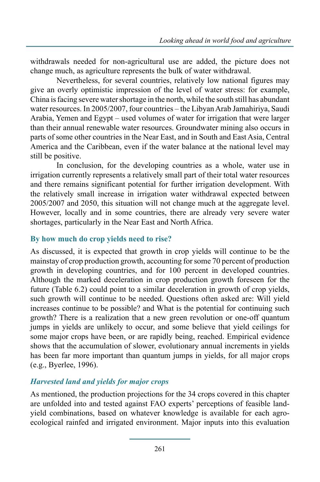withdrawals needed for non-agricultural use are added, the picture does not change much, as agriculture represents the bulk of water withdrawal.

Nevertheless, for several countries, relatively low national figures may give an overly optimistic impression of the level of water stress: for example, China is facing severe water shortage in the north, while the south still has abundant water resources. In 2005/2007, four countries – the Libyan Arab Jamahiriya, Saudi Arabia, Yemen and Egypt – used volumes of water for irrigation that were larger than their annual renewable water resources. Groundwater mining also occurs in parts of some other countries in the Near East, and in South and East Asia, Central America and the Caribbean, even if the water balance at the national level may still be positive.

In conclusion, for the developing countries as a whole, water use in irrigation currently represents a relatively small part of their total water resources and there remains significant potential for further irrigation development. With the relatively small increase in irrigation water withdrawal expected between 2005/2007 and 2050, this situation will not change much at the aggregate level. However, locally and in some countries, there are already very severe water shortages, particularly in the Near East and North Africa.

### **By how much do crop yields need to rise?**

As discussed, it is expected that growth in crop yields will continue to be the mainstay of crop production growth, accounting for some 70 percent of production growth in developing countries, and for 100 percent in developed countries. Although the marked deceleration in crop production growth foreseen for the future (Table 6.2) could point to a similar deceleration in growth of crop yields, such growth will continue to be needed. Questions often asked are: Will yield increases continue to be possible? and What is the potential for continuing such growth? There is a realization that a new green revolution or one-off quantum jumps in yields are unlikely to occur, and some believe that yield ceilings for some major crops have been, or are rapidly being, reached. Empirical evidence shows that the accumulation of slower, evolutionary annual increments in yields has been far more important than quantum jumps in yields, for all major crops (e.g., Byerlee, 1996).

### *Harvested land and yields for major crops*

As mentioned, the production projections for the 34 crops covered in this chapter are unfolded into and tested against FAO experts' perceptions of feasible landyield combinations, based on whatever knowledge is available for each agroecological rainfed and irrigated environment. Major inputs into this evaluation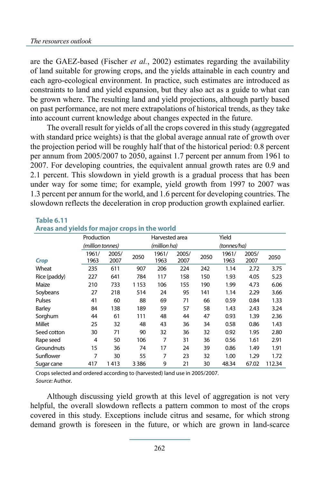are the GAEZ-based (Fischer *et al.*, 2002) estimates regarding the availability of land suitable for growing crops, and the yields attainable in each country and each agro-ecological environment. In practice, such estimates are introduced as constraints to land and yield expansion, but they also act as a guide to what can be grown where. The resulting land and yield projections, although partly based on past performance, are not mere extrapolations of historical trends, as they take into account current knowledge about changes expected in the future.

The overall result for yields of all the crops covered in this study (aggregated with standard price weights) is that the global average annual rate of growth over the projection period will be roughly half that of the historical period: 0.8 percent per annum from 2005/2007 to 2050, against 1.7 percent per annum from 1961 to 2007. For developing countries, the equivalent annual growth rates are 0.9 and 2.1 percent. This slowdown in yield growth is a gradual process that has been under way for some time; for example, yield growth from 1997 to 2007 was 1.3 percent per annum for the world, and 1.6 percent for developing countries. The slowdown reflects the deceleration in crop production growth explained earlier.

#### **Table 6.11**

| Areas and yields for major crops in the world |                  |       |         |                |       |      |             |       |        |
|-----------------------------------------------|------------------|-------|---------|----------------|-------|------|-------------|-------|--------|
|                                               | Production       |       |         | Harvested area |       |      | Yield       |       |        |
|                                               | (million tonnes) |       |         | (million ha)   |       |      | (tonnes/ha) |       |        |
|                                               | 1961/            | 2005/ | 2050    | 1961/          | 2005/ | 2050 | 1961/       | 2005/ | 2050   |
| Crop                                          | 1963             | 2007  |         | 1963           | 2007  |      | 1963        | 2007  |        |
| Wheat                                         | 235              | 611   | 907     | 206            | 224   | 242  | 1.14        | 2.72  | 3.75   |
| Rice (paddy)                                  | 227              | 641   | 784     | 117            | 158   | 150  | 1.93        | 4.05  | 5.23   |
| Maize                                         | 210              | 733   | 1153    | 106            | 155   | 190  | 1.99        | 4.73  | 6.06   |
| Soybeans                                      | 27               | 218   | 514     | 24             | 95    | 141  | 1.14        | 2.29  | 3.66   |
| Pulses                                        | 41               | 60    | 88      | 69             | 71    | 66   | 0.59        | 0.84  | 1.33   |
| <b>Barley</b>                                 | 84               | 138   | 189     | 59             | 57    | 58   | 1.43        | 2.43  | 3.24   |
| Sorghum                                       | 44               | 61    | 111     | 48             | 44    | 47   | 0.93        | 1.39  | 2.36   |
| Millet                                        | 25               | 32    | 48      | 43             | 36    | 34   | 0.58        | 0.86  | 1.43   |
| Seed cotton                                   | 30               | 71    | 90      | 32             | 36    | 32   | 0.92        | 1.95  | 2.80   |
| Rape seed                                     | 4                | 50    | 106     | 7              | 31    | 36   | 0.56        | 1.61  | 2.91   |
| Groundnuts                                    | 15               | 36    | 74      | 17             | 24    | 39   | 0.86        | 1.49  | 1.91   |
| Sunflower                                     | 7                | 30    | 55      | 7              | 23    | 32   | 1.00        | 1.29  | 1.72   |
| Sugar cane                                    | 417              | 1413  | 3 3 8 6 | 9              | 21    | 30   | 48.34       | 67.02 | 112.34 |

### **Areas and yields for major crops in the world**

Crops selected and ordered according to (harvested) land use in 2005/2007. *Source:* Author.

Although discussing yield growth at this level of aggregation is not very helpful, the overall slowdown reflects a pattern common to most of the crops covered in this study. Exceptions include citrus and sesame, for which strong demand growth is foreseen in the future, or which are grown in land-scarce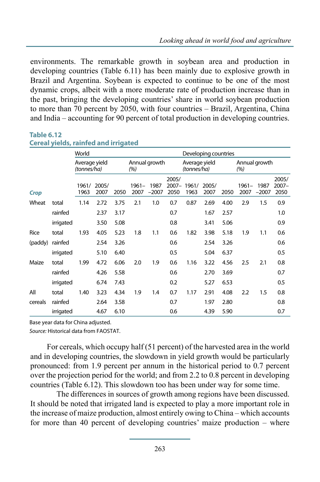environments. The remarkable growth in soybean area and production in developing countries (Table 6.11) has been mainly due to explosive growth in Brazil and Argentina. Soybean is expected to continue to be one of the most dynamic crops, albeit with a more moderate rate of production increase than in the past, bringing the developing countries' share in world soybean production to more than 70 percent by 2050, with four countries – Brazil, Argentina, China and India – accounting for 90 percent of total production in developing countries.

#### **Table 6.12**

### **Cereal yields, rainfed and irrigated**

|         |           | World                        |               |      |                      |                 |                           |                              | Developing countries |      |               |                 |                           |
|---------|-----------|------------------------------|---------------|------|----------------------|-----------------|---------------------------|------------------------------|----------------------|------|---------------|-----------------|---------------------------|
|         |           | Average yield<br>(tonnes/ha) |               |      | Annual growth<br>(%) |                 |                           | Average yield<br>(tonnes/ha) |                      |      | (%)           | Annual growth   |                           |
| Crop    |           | 1961/<br>1963                | 2005/<br>2007 | 2050 | $1961 -$<br>2007     | 1987<br>$-2007$ | 2005/<br>$2007 -$<br>2050 | 1961/<br>1963                | 2005/<br>2007        | 2050 | 1961–<br>2007 | 1987<br>$-2007$ | 2005/<br>$2007 -$<br>2050 |
| Wheat   | total     | 1.14                         | 2.72          | 3.75 | 2.1                  | 1.0             | 0.7                       | 0.87                         | 2.69                 | 4.00 | 2.9           | 1.5             | 0.9                       |
|         | rainfed   |                              | 2.37          | 3.17 |                      |                 | 0.7                       |                              | 1.67                 | 2.57 |               |                 | 1.0                       |
|         | irrigated |                              | 3.50          | 5.08 |                      |                 | 0.8                       |                              | 3.41                 | 5.06 |               |                 | 0.9                       |
| Rice    | total     | 1.93                         | 4.05          | 5.23 | 1.8                  | 1.1             | 0.6                       | 1.82                         | 3.98                 | 5.18 | 1.9           | 1.1             | 0.6                       |
| (paddy) | rainfed   |                              | 2.54          | 3.26 |                      |                 | 0.6                       |                              | 2.54                 | 3.26 |               |                 | 0.6                       |
|         | irrigated |                              | 5.10          | 6.40 |                      |                 | 0.5                       |                              | 5.04                 | 6.37 |               |                 | 0.5                       |
| Maize   | total     | 1.99                         | 4.72          | 6.06 | 2.0                  | 1.9             | 0.6                       | 1.16                         | 3.22                 | 4.56 | 2.5           | 2.1             | 0.8                       |
|         | rainfed   |                              | 4.26          | 5.58 |                      |                 | 0.6                       |                              | 2.70                 | 3.69 |               |                 | 0.7                       |
|         | irrigated |                              | 6.74          | 7.43 |                      |                 | 0.2                       |                              | 5.27                 | 6.53 |               |                 | 0.5                       |
| All     | total     | 1.40                         | 3.23          | 4.34 | 1.9                  | 1.4             | 0.7                       | 1.17                         | 2.91                 | 4.08 | 2.2           | 1.5             | 0.8                       |
| cereals | rainfed   |                              | 2.64          | 3.58 |                      |                 | 0.7                       |                              | 1.97                 | 2.80 |               |                 | 0.8                       |
|         | irrigated |                              | 4.67          | 6.10 |                      |                 | 0.6                       |                              | 4.39                 | 5.90 |               |                 | 0.7                       |

Base year data for China adjusted.

*Source:* Historical data from FAOSTAT.

For cereals, which occupy half (51 percent) of the harvested area in the world and in developing countries, the slowdown in yield growth would be particularly pronounced: from 1.9 percent per annum in the historical period to 0.7 percent over the projection period for the world; and from 2.2 to 0.8 percent in developing countries (Table 6.12). This slowdown too has been under way for some time.

The differences in sources of growth among regions have been discussed. It should be noted that irrigated land is expected to play a more important role in the increase of maize production, almost entirely owing to China – which accounts for more than 40 percent of developing countries' maize production – where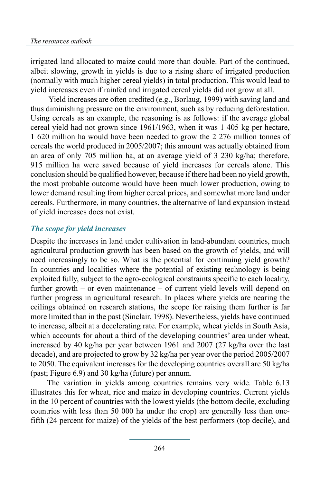irrigated land allocated to maize could more than double. Part of the continued, albeit slowing, growth in yields is due to a rising share of irrigated production (normally with much higher cereal yields) in total production. This would lead to yield increases even if rainfed and irrigated cereal yields did not grow at all.

 Yield increases are often credited (e.g., Borlaug, 1999) with saving land and thus diminishing pressure on the environment, such as by reducing deforestation. Using cereals as an example, the reasoning is as follows: if the average global cereal yield had not grown since 1961/1963, when it was 1 405 kg per hectare, 1 620 million ha would have been needed to grow the 2 276 million tonnes of cereals the world produced in 2005/2007; this amount was actually obtained from an area of only 705 million ha, at an average yield of 3 230 kg/ha; therefore, 915 million ha were saved because of yield increases for cereals alone. This conclusion should be qualified however, because if there had been no yield growth, the most probable outcome would have been much lower production, owing to lower demand resulting from higher cereal prices, and somewhat more land under cereals. Furthermore, in many countries, the alternative of land expansion instead of yield increases does not exist.

### *The scope for yield increases*

Despite the increases in land under cultivation in land-abundant countries, much agricultural production growth has been based on the growth of yields, and will need increasingly to be so. What is the potential for continuing yield growth? In countries and localities where the potential of existing technology is being exploited fully, subject to the agro-ecological constraints specific to each locality, further growth – or even maintenance – of current yield levels will depend on further progress in agricultural research. In places where yields are nearing the ceilings obtained on research stations, the scope for raising them further is far more limited than in the past (Sinclair, 1998). Nevertheless, yields have continued to increase, albeit at a decelerating rate. For example, wheat yields in South Asia, which accounts for about a third of the developing countries' area under wheat, increased by 40 kg/ha per year between 1961 and 2007 (27 kg/ha over the last decade), and are projected to grow by 32 kg/ha per year over the period 2005/2007 to 2050. The equivalent increases for the developing countries overall are 50 kg/ha (past; Figure 6.9) and 30 kg/ha (future) per annum.

The variation in yields among countries remains very wide. Table 6.13 illustrates this for wheat, rice and maize in developing countries. Current yields in the 10 percent of countries with the lowest yields (the bottom decile, excluding countries with less than 50 000 ha under the crop) are generally less than onefifth (24 percent for maize) of the yields of the best performers (top decile), and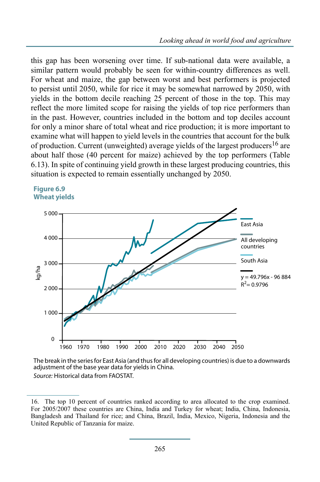this gap has been worsening over time. If sub-national data were available, a similar pattern would probably be seen for within-country differences as well. For wheat and maize, the gap between worst and best performers is projected to persist until 2050, while for rice it may be somewhat narrowed by 2050, with yields in the bottom decile reaching 25 percent of those in the top. This may reflect the more limited scope for raising the yields of top rice performers than in the past. However, countries included in the bottom and top deciles account for only a minor share of total wheat and rice production; it is more important to examine what will happen to yield levels in the countries that account for the bulk of production. Current (unweighted) average yields of the largest producers<sup>16</sup> are about half those (40 percent for maize) achieved by the top performers (Table 6.13). In spite of continuing yield growth in these largest producing countries, this situation is expected to remain essentially unchanged by 2050.





The break in the series for East Asia (and thus for all developing countries) is due to a downwards adjustment of the base year data for yields in China. *Source:* Historical data from FAOSTAT.

<sup>16.</sup> The top 10 percent of countries ranked according to area allocated to the crop examined. For 2005/2007 these countries are China, India and Turkey for wheat; India, China, Indonesia, Bangladesh and Thailand for rice; and China, Brazil, India, Mexico, Nigeria, Indonesia and the United Republic of Tanzania for maize.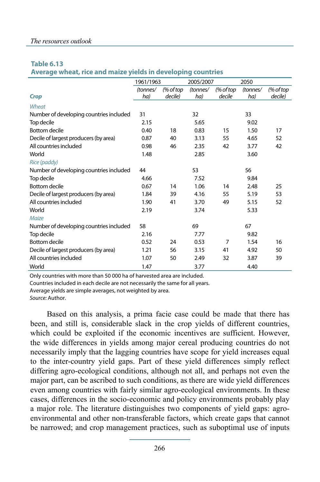#### **Table 6.13**

**Average wheat, rice and maize yields in developing countries**

|                                         | 1961/1963 |           | 2005/2007 |                | 2050     |           |
|-----------------------------------------|-----------|-----------|-----------|----------------|----------|-----------|
|                                         | (tonnes/  | (% of top | (tonnes/  | $%$ of top     | (tonnes/ | (% of top |
| <b>Crop</b>                             | ha)       | decile)   | ha)       | decile         | ha)      | decile)   |
| Wheat                                   |           |           |           |                |          |           |
| Number of developing countries included | 31        |           | 32        |                | 33       |           |
| Top decile                              | 2.15      |           | 5.65      |                | 9.02     |           |
| <b>Bottom decile</b>                    | 0.40      | 18        | 0.83      | 15             | 1.50     | 17        |
| Decile of largest producers (by area)   | 0.87      | 40        | 3.13      | 55             | 4.65     | 52        |
| All countries included                  | 0.98      | 46        | 2.35      | 42             | 3.77     | 42        |
| World                                   | 1.48      |           | 2.85      |                | 3.60     |           |
| Rice (paddy)                            |           |           |           |                |          |           |
| Number of developing countries included | 44        |           | 53        |                | 56       |           |
| Top decile                              | 4.66      |           | 7.52      |                | 9.84     |           |
| Bottom decile                           | 0.67      | 14        | 1.06      | 14             | 2.48     | 25        |
| Decile of largest producers (by area)   | 1.84      | 39        | 4.16      | 55             | 5.19     | 53        |
| All countries included                  | 1.90      | 41        | 3.70      | 49             | 5.15     | 52        |
| World                                   | 2.19      |           | 3.74      |                | 5.33     |           |
| Maize                                   |           |           |           |                |          |           |
| Number of developing countries included | 58        |           | 69        |                | 67       |           |
| Top decile                              | 2.16      |           | 7.77      |                | 9.82     |           |
| <b>Bottom decile</b>                    | 0.52      | 24        | 0.53      | $\overline{7}$ | 1.54     | 16        |
| Decile of largest producers (by area)   | 1.21      | 56        | 3.15      | 41             | 4.92     | 50        |
| All countries included                  | 1.07      | 50        | 2.49      | 32             | 3.87     | 39        |
| World                                   | 1.47      |           | 3.77      |                | 4.40     |           |

Only countries with more than 50 000 ha of harvested area are included.

Countries included in each decile are not necessarily the same for all years.

Average yields are simple averages, not weighted by area.

*Source:* Author.

Based on this analysis, a prima facie case could be made that there has been, and still is, considerable slack in the crop yields of different countries, which could be exploited if the economic incentives are sufficient. However, the wide differences in yields among major cereal producing countries do not necessarily imply that the lagging countries have scope for yield increases equal to the inter-country yield gaps. Part of these yield differences simply reflect differing agro-ecological conditions, although not all, and perhaps not even the major part, can be ascribed to such conditions, as there are wide yield differences even among countries with fairly similar agro-ecological environments. In these cases, differences in the socio-economic and policy environments probably play a major role. The literature distinguishes two components of yield gaps: agroenvironmental and other non-transferable factors, which create gaps that cannot be narrowed; and crop management practices, such as suboptimal use of inputs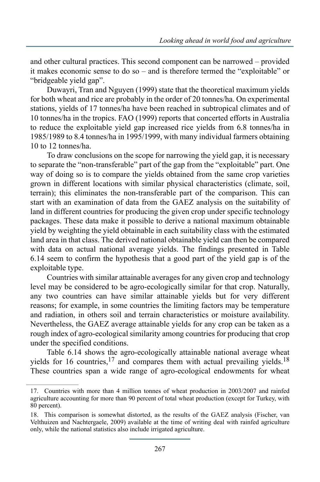and other cultural practices. This second component can be narrowed – provided it makes economic sense to do so – and is therefore termed the "exploitable" or "bridgeable yield gap".

Duwayri, Tran and Nguyen (1999) state that the theoretical maximum yields for both wheat and rice are probably in the order of 20 tonnes/ha. On experimental stations, yields of 17 tonnes/ha have been reached in subtropical climates and of 10 tonnes/ha in the tropics. FAO (1999) reports that concerted efforts in Australia to reduce the exploitable yield gap increased rice yields from 6.8 tonnes/ha in 1985/1989 to 8.4 tonnes/ha in 1995/1999, with many individual farmers obtaining 10 to 12 tonnes/ha.

To draw conclusions on the scope for narrowing the yield gap, it is necessary to separate the "non-transferable" part of the gap from the "exploitable" part. One way of doing so is to compare the yields obtained from the same crop varieties grown in different locations with similar physical characteristics (climate, soil, terrain); this eliminates the non-transferable part of the comparison. This can start with an examination of data from the GAEZ analysis on the suitability of land in different countries for producing the given crop under specific technology packages. These data make it possible to derive a national maximum obtainable yield by weighting the yield obtainable in each suitability class with the estimated land area in that class. The derived national obtainable yield can then be compared with data on actual national average yields. The findings presented in Table 6.14 seem to confirm the hypothesis that a good part of the yield gap is of the exploitable type.

Countries with similar attainable averages for any given crop and technology level may be considered to be agro-ecologically similar for that crop. Naturally, any two countries can have similar attainable yields but for very different reasons; for example, in some countries the limiting factors may be temperature and radiation, in others soil and terrain characteristics or moisture availability. Nevertheless, the GAEZ average attainable yields for any crop can be taken as a rough index of agro-ecological similarity among countries for producing that crop under the specified conditions.

Table 6.14 shows the agro-ecologically attainable national average wheat yields for 16 countries,  $17$  and compares them with actual prevailing yields.<sup>18</sup> These countries span a wide range of agro-ecological endowments for wheat

<sup>17.</sup> Countries with more than 4 million tonnes of wheat production in 2003/2007 and rainfed agriculture accounting for more than 90 percent of total wheat production (except for Turkey, with 80 percent).

<sup>18.</sup> This comparison is somewhat distorted, as the results of the GAEZ analysis (Fischer, van Velthuizen and Nachtergaele, 2009) available at the time of writing deal with rainfed agriculture only, while the national statistics also include irrigated agriculture.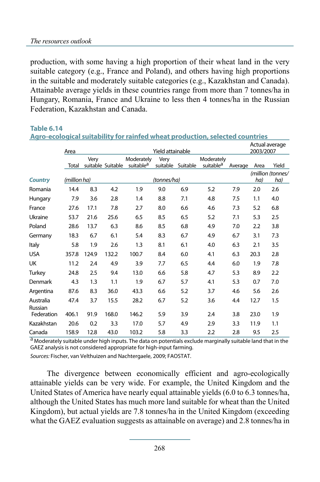production, with some having a high proportion of their wheat land in the very suitable category (e.g., France and Poland), and others having high proportions in the suitable and moderately suitable categories (e.g., Kazakhstan and Canada). Attainable average yields in these countries range from more than 7 tonnes/ha in Hungary, Romania, France and Ukraine to less then 4 tonnes/ha in the Russian Federation, Kazakhstan and Canada.

| Agro-ecological suitability for rainfed wheat production, selected countries |              |                  |                   |                                     |             |                             |                                     |         |      |                          |
|------------------------------------------------------------------------------|--------------|------------------|-------------------|-------------------------------------|-------------|-----------------------------|-------------------------------------|---------|------|--------------------------|
|                                                                              | Area         | Yield attainable |                   |                                     |             | Actual average<br>2003/2007 |                                     |         |      |                          |
|                                                                              | Total        | Very             | suitable Suitable | Moderately<br>suitable <sup>a</sup> | Very        | suitable Suitable           | Moderately<br>suitable <sup>a</sup> | Average | Area | Yield                    |
| <b>Country</b>                                                               | (million ha) |                  |                   |                                     | (tonnes/ha) |                             |                                     |         | ha)  | (million (tonnes/<br>ha) |
| Romania                                                                      | 14.4         | 8.3              | 4.2               | 1.9                                 | 9.0         | 6.9                         | 5.2                                 | 7.9     | 2.0  | 2.6                      |
| Hungary                                                                      | 7.9          | 3.6              | 2.8               | 1.4                                 | 8.8         | 7.1                         | 4.8                                 | 7.5     | 1.1  | 4.0                      |
| France                                                                       | 27.6         | 17.1             | 7.8               | 2.7                                 | 8.0         | 6.6                         | 4.6                                 | 7.3     | 5.2  | 6.8                      |
| Ukraine                                                                      | 53.7         | 21.6             | 25.6              | 6.5                                 | 8.5         | 6.5                         | 5.2                                 | 7.1     | 5.3  | 2.5                      |
| Poland                                                                       | 28.6         | 13.7             | 6.3               | 8.6                                 | 8.5         | 6.8                         | 4.9                                 | 7.0     | 2.2  | 3.8                      |
| Germany                                                                      | 18.3         | 6.7              | 6.1               | 5.4                                 | 8.3         | 6.7                         | 4.9                                 | 6.7     | 3.1  | 7.3                      |
| Italy                                                                        | 5.8          | 1.9              | 2.6               | 1.3                                 | 8.1         | 6.1                         | 4.0                                 | 6.3     | 2.1  | 3.5                      |
| <b>USA</b>                                                                   | 357.8        | 124.9            | 132.2             | 100.7                               | 8.4         | 6.0                         | 4.1                                 | 6.3     | 20.3 | 2.8                      |
| UK                                                                           | 11.2         | 2.4              | 4.9               | 3.9                                 | 7.7         | 6.5                         | 4.4                                 | 6.0     | 1.9  | 7.8                      |
| <b>Turkey</b>                                                                | 24.8         | 2.5              | 9.4               | 13.0                                | 6.6         | 5.8                         | 4.7                                 | 5.3     | 8.9  | 2.2                      |
| Denmark                                                                      | 4.3          | 1.3              | 1.1               | 1.9                                 | 6.7         | 5.7                         | 4.1                                 | 5.3     | 0.7  | 7.0                      |
| Argentina                                                                    | 87.6         | 8.3              | 36.0              | 43.3                                | 6.6         | 5.2                         | 3.7                                 | 4.6     | 5.6  | 2.6                      |
| Australia                                                                    | 47.4         | 3.7              | 15.5              | 28.2                                | 6.7         | 5.2                         | 3.6                                 | 4.4     | 12.7 | 1.5                      |
| Russian<br>Federation                                                        | 406.1        | 91.9             | 168.0             | 146.2                               | 5.9         | 3.9                         | 2.4                                 | 3.8     | 23.0 | 1.9                      |
| Kazakhstan                                                                   | 20.6         | 0.2              | 3.3               | 17.0                                | 5.7         | 4.9                         | 2.9                                 | 3.3     | 11.9 | 1.1                      |
| Canada                                                                       | 158.9        | 12.8             | 43.0              | 103.2                               | 5.8         | 3.3                         | 2.2                                 | 2.8     | 9.5  | 2.5                      |

**Table 6.14**

a Moderately suitable under high inputs. The data on potentials exclude marginally suitable land that in the GAEZ analysis is not considered appropriate for high-input farming. *Sources:* Fischer, van Velthuizen and Nachtergaele, 2009; FAOSTAT.

The divergence between economically efficient and agro-ecologically attainable yields can be very wide. For example, the United Kingdom and the United States of America have nearly equal attainable yields (6.0 to 6.3 tonnes/ha, although the United States has much more land suitable for wheat than the United Kingdom), but actual yields are 7.8 tonnes/ha in the United Kingdom (exceeding what the GAEZ evaluation suggests as attainable on average) and 2.8 tonnes/ha in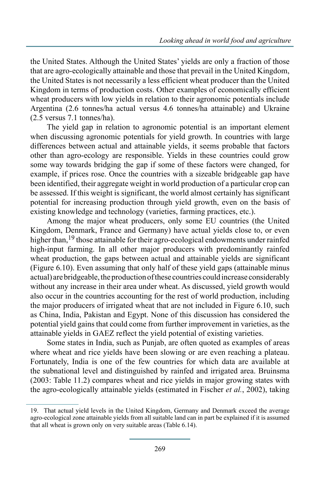the United States. Although the United States' yields are only a fraction of those that are agro-ecologically attainable and those that prevail in the United Kingdom, the United States is not necessarily a less efficient wheat producer than the United Kingdom in terms of production costs. Other examples of economically efficient wheat producers with low yields in relation to their agronomic potentials include Argentina (2.6 tonnes/ha actual versus 4.6 tonnes/ha attainable) and Ukraine (2.5 versus 7.1 tonnes/ha).

The yield gap in relation to agronomic potential is an important element when discussing agronomic potentials for yield growth. In countries with large differences between actual and attainable yields, it seems probable that factors other than agro-ecology are responsible. Yields in these countries could grow some way towards bridging the gap if some of these factors were changed, for example, if prices rose. Once the countries with a sizeable bridgeable gap have been identified, their aggregate weight in world production of a particular crop can be assessed. If this weight is significant, the world almost certainly has significant potential for increasing production through yield growth, even on the basis of existing knowledge and technology (varieties, farming practices, etc.).

Among the major wheat producers, only some EU countries (the United Kingdom, Denmark, France and Germany) have actual yields close to, or even higher than,<sup>19</sup> those attainable for their agro-ecological endowments under rainfed high-input farming. In all other major producers with predominantly rainfed wheat production, the gaps between actual and attainable yields are significant (Figure 6.10). Even assuming that only half of these yield gaps (attainable minus actual) are bridgeable, the production of these countries could increase considerably without any increase in their area under wheat. As discussed, yield growth would also occur in the countries accounting for the rest of world production, including the major producers of irrigated wheat that are not included in Figure 6.10, such as China, India, Pakistan and Egypt. None of this discussion has considered the potential yield gains that could come from further improvement in varieties, as the attainable yields in GAEZ reflect the yield potential of existing varieties.

Some states in India, such as Punjab, are often quoted as examples of areas where wheat and rice yields have been slowing or are even reaching a plateau. Fortunately, India is one of the few countries for which data are available at the subnational level and distinguished by rainfed and irrigated area. Bruinsma (2003: Table 11.2) compares wheat and rice yields in major growing states with the agro-ecologically attainable yields (estimated in Fischer *et al.*, 2002), taking

<sup>19.</sup> That actual yield levels in the United Kingdom, Germany and Denmark exceed the average agro-ecological zone attainable yields from all suitable land can in part be explained if it is assumed that all wheat is grown only on very suitable areas (Table 6.14).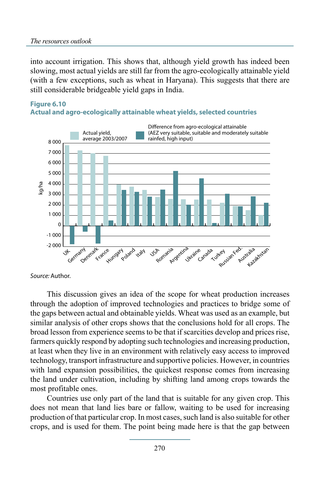into account irrigation. This shows that, although yield growth has indeed been slowing, most actual yields are still far from the agro-ecologically attainable yield (with a few exceptions, such as wheat in Haryana). This suggests that there are still considerable bridgeable yield gaps in India.

## **Figure 6.10**





*Source:* Author.

This discussion gives an idea of the scope for wheat production increases through the adoption of improved technologies and practices to bridge some of the gaps between actual and obtainable yields. Wheat was used as an example, but similar analysis of other crops shows that the conclusions hold for all crops. The broad lesson from experience seems to be that if scarcities develop and prices rise, farmers quickly respond by adopting such technologies and increasing production, at least when they live in an environment with relatively easy access to improved technology, transport infrastructure and supportive policies. However, in countries with land expansion possibilities, the quickest response comes from increasing the land under cultivation, including by shifting land among crops towards the most profitable ones.

Countries use only part of the land that is suitable for any given crop. This does not mean that land lies bare or fallow, waiting to be used for increasing production of that particular crop. In most cases, such land is also suitable for other crops, and is used for them. The point being made here is that the gap between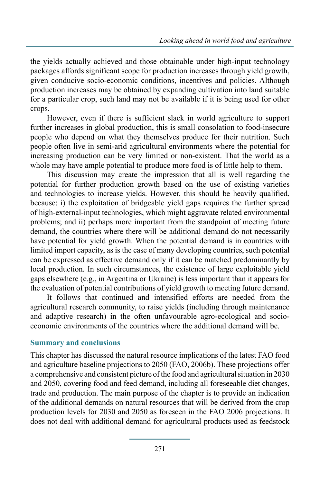the yields actually achieved and those obtainable under high-input technology packages affords significant scope for production increases through yield growth, given conducive socio-economic conditions, incentives and policies. Although production increases may be obtained by expanding cultivation into land suitable for a particular crop, such land may not be available if it is being used for other crops.

However, even if there is sufficient slack in world agriculture to support further increases in global production, this is small consolation to food-insecure people who depend on what they themselves produce for their nutrition. Such people often live in semi-arid agricultural environments where the potential for increasing production can be very limited or non-existent. That the world as a whole may have ample potential to produce more food is of little help to them.

This discussion may create the impression that all is well regarding the potential for further production growth based on the use of existing varieties and technologies to increase yields. However, this should be heavily qualified, because: i) the exploitation of bridgeable yield gaps requires the further spread of high-external-input technologies, which might aggravate related environmental problems; and ii) perhaps more important from the standpoint of meeting future demand, the countries where there will be additional demand do not necessarily have potential for yield growth. When the potential demand is in countries with limited import capacity, as is the case of many developing countries, such potential can be expressed as effective demand only if it can be matched predominantly by local production. In such circumstances, the existence of large exploitable yield gaps elsewhere (e.g., in Argentina or Ukraine) is less important than it appears for the evaluation of potential contributions of yield growth to meeting future demand.

It follows that continued and intensified efforts are needed from the agricultural research community, to raise yields (including through maintenance and adaptive research) in the often unfavourable agro-ecological and socioeconomic environments of the countries where the additional demand will be.

### **Summary and conclusions**

This chapter has discussed the natural resource implications of the latest FAO food and agriculture baseline projections to 2050 (FAO, 2006b). These projections offer a comprehensive and consistent picture of the food and agricultural situation in 2030 and 2050, covering food and feed demand, including all foreseeable diet changes, trade and production. The main purpose of the chapter is to provide an indication of the additional demands on natural resources that will be derived from the crop production levels for 2030 and 2050 as foreseen in the FAO 2006 projections. It does not deal with additional demand for agricultural products used as feedstock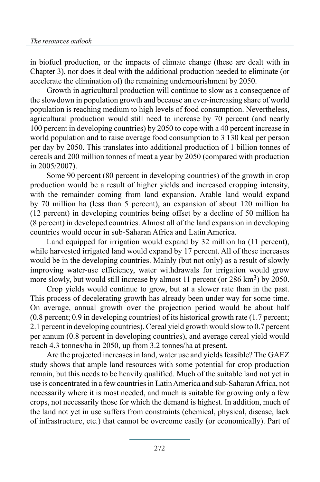in biofuel production, or the impacts of climate change (these are dealt with in Chapter 3), nor does it deal with the additional production needed to eliminate (or accelerate the elimination of) the remaining undernourishment by 2050.

Growth in agricultural production will continue to slow as a consequence of the slowdown in population growth and because an ever-increasing share of world population is reaching medium to high levels of food consumption. Nevertheless, agricultural production would still need to increase by 70 percent (and nearly 100 percent in developing countries) by 2050 to cope with a 40 percent increase in world population and to raise average food consumption to 3 130 kcal per person per day by 2050. This translates into additional production of 1 billion tonnes of cereals and 200 million tonnes of meat a year by 2050 (compared with production in 2005/2007).

Some 90 percent (80 percent in developing countries) of the growth in crop production would be a result of higher yields and increased cropping intensity, with the remainder coming from land expansion. Arable land would expand by 70 million ha (less than 5 percent), an expansion of about 120 million ha (12 percent) in developing countries being offset by a decline of 50 million ha (8 percent) in developed countries. Almost all of the land expansion in developing countries would occur in sub-Saharan Africa and Latin America.

Land equipped for irrigation would expand by 32 million ha (11 percent), while harvested irrigated land would expand by 17 percent. All of these increases would be in the developing countries. Mainly (but not only) as a result of slowly improving water-use efficiency, water withdrawals for irrigation would grow more slowly, but would still increase by almost 11 percent (or  $286 \text{ km}^3$ ) by  $2050$ .

Crop yields would continue to grow, but at a slower rate than in the past. This process of decelerating growth has already been under way for some time. On average, annual growth over the projection period would be about half (0.8 percent; 0.9 in developing countries) of its historical growth rate (1.7 percent; 2.1 percent in developing countries). Cereal yield growth would slow to 0.7 percent per annum (0.8 percent in developing countries), and average cereal yield would reach 4.3 tonnes/ha in 2050, up from 3.2 tonnes/ha at present.

Are the projected increases in land, water use and yields feasible? The GAEZ study shows that ample land resources with some potential for crop production remain, but this needs to be heavily qualified. Much of the suitable land not yet in use is concentrated in a few countries in Latin America and sub-Saharan Africa, not necessarily where it is most needed, and much is suitable for growing only a few crops, not necessarily those for which the demand is highest. In addition, much of the land not yet in use suffers from constraints (chemical, physical, disease, lack of infrastructure, etc.) that cannot be overcome easily (or economically). Part of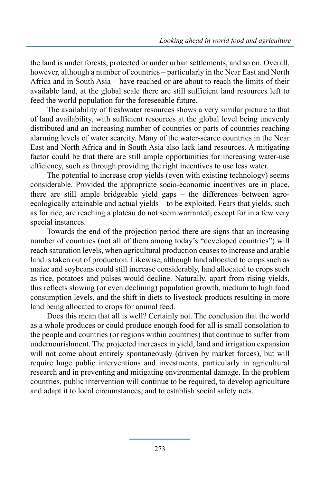the land is under forests, protected or under urban settlements, and so on. Overall, however, although a number of countries – particularly in the Near East and North Africa and in South Asia – have reached or are about to reach the limits of their available land, at the global scale there are still sufficient land resources left to feed the world population for the foreseeable future.

The availability of freshwater resources shows a very similar picture to that of land availability, with sufficient resources at the global level being unevenly distributed and an increasing number of countries or parts of countries reaching alarming levels of water scarcity. Many of the water-scarce countries in the Near East and North Africa and in South Asia also lack land resources. A mitigating factor could be that there are still ample opportunities for increasing water-use efficiency, such as through providing the right incentives to use less water.

The potential to increase crop yields (even with existing technology) seems considerable. Provided the appropriate socio-economic incentives are in place, there are still ample bridgeable yield gaps – the differences between agroecologically attainable and actual yields – to be exploited. Fears that yields, such as for rice, are reaching a plateau do not seem warranted, except for in a few very special instances.

Towards the end of the projection period there are signs that an increasing number of countries (not all of them among today's "developed countries") will reach saturation levels, when agricultural production ceases to increase and arable land is taken out of production. Likewise, although land allocated to crops such as maize and soybeans could still increase considerably, land allocated to crops such as rice, potatoes and pulses would decline. Naturally, apart from rising yields, this reflects slowing (or even declining) population growth, medium to high food consumption levels, and the shift in diets to livestock products resulting in more land being allocated to crops for animal feed.

Does this mean that all is well? Certainly not. The conclusion that the world as a whole produces or could produce enough food for all is small consolation to the people and countries (or regions within countries) that continue to suffer from undernourishment. The projected increases in yield, land and irrigation expansion will not come about entirely spontaneously (driven by market forces), but will require huge public interventions and investments, particularly in agricultural research and in preventing and mitigating environmental damage. In the problem countries, public intervention will continue to be required, to develop agriculture and adapt it to local circumstances, and to establish social safety nets.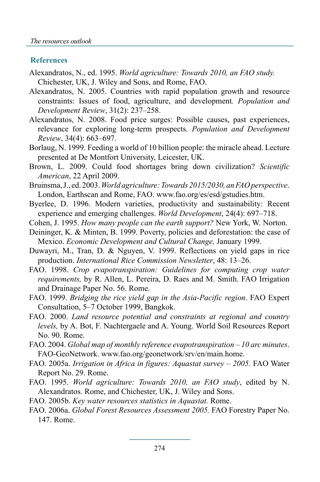### **References**

- Alexandratos, N., ed. 1995. *World agriculture: Towards 2010, an FAO study.* Chichester, UK, J. Wiley and Sons, and Rome, FAO.
- Alexandratos, N. 2005. Countries with rapid population growth and resource constraints: Issues of food, agriculture, and development*. Population and Development Review*, 31(2): 237–258.
- Alexandratos, N. 2008. Food price surges: Possible causes, past experiences, relevance for exploring long-term prospects*. Population and Development Review*, 34(4): 663–697.
- Borlaug, N. 1999. Feeding a world of 10 billion people: the miracle ahead. Lecture presented at De Montfort University, Leicester, UK.
- Brown, L. 2009. Could food shortages bring down civilization? *Scientific American*, 22 April 2009.
- Bruinsma, J., ed. 2003. *World agriculture: Towards 2015/2030, an FAO perspective*. London, Earthscan and Rome, FAO. www.fao.org/es/esd/gstudies.htm.
- Byerlee, D. 1996. Modern varieties, productivity and sustainability: Recent experience and emerging challenges. *World Development*, 24(4): 697–718.
- Cohen, J. 1995. *How many people can the earth support?* New York, W. Norton.
- Deininger, K. & Minten, B. 1999. Poverty, policies and deforestation: the case of Mexico. *Economic Development and Cultural Change,* January 1999.
- Duwayri, M., Tran, D. & Nguyen, V. 1999. Reflections on yield gaps in rice production. *International Rice Commission Newsletter*, 48: 13–26.
- FAO. 1998. *Crop evapotranspiration: Guidelines for computing crop water requirements,* by R. Allen, L. Pereira, D. Raes and M. Smith. FAO Irrigation and Drainage Paper No. 56. Rome.
- FAO. 1999. *Bridging the rice yield gap in the Asia-Pacific region*. FAO Expert Consultation, 5–7 October 1999, Bangkok.
- FAO. 2000. *Land resource potential and constraints at regional and country levels,* by A. Bot, F. Nachtergaele and A. Young. World Soil Resources Report No. 90. Rome.
- FAO. 2004. *Global map of monthly reference evapotranspiration 10 arc minutes*. FAO-GeoNetwork. www.fao.org/geonetwork/srv/en/main.home.
- FAO. 2005a. *Irrigation in Africa in figures: Aquastat survey 2005.* FAO Water Report No. 29. Rome.
- FAO. 1995. *World agriculture: Towards 2010, an FAO study*, edited by N. Alexandratos. Rome, and Chichester, UK, J. Wiley and Sons.
- FAO. 2005b. *Key water resources statistics in Aquastat.* Rome.
- FAO. 2006a. *Global Forest Resources Assessment 2005.* FAO Forestry Paper No. 147. Rome.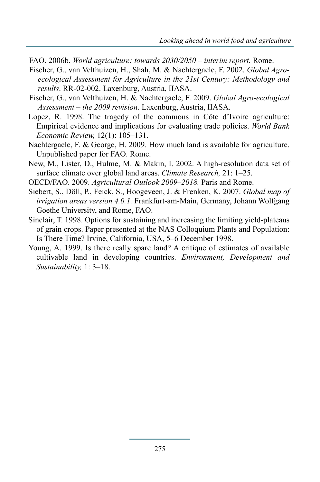- FAO. 2006b. *World agriculture: towards 2030/2050 interim report.* Rome.
- Fischer, G., van Velthuizen, H., Shah, M. & Nachtergaele, F. 2002. *Global Agroecological Assessment for Agriculture in the 21st Century: Methodology and results*. RR-02-002. Laxenburg, Austria, IIASA.
- Fischer, G., van Velthuizen, H. & Nachtergaele, F. 2009. *Global Agro-ecological Assessment – the 2009 revision*. Laxenburg, Austria, IIASA.
- Lopez, R. 1998. The tragedy of the commons in Côte d'Ivoire agriculture: Empirical evidence and implications for evaluating trade policies. *World Bank Economic Review,* 12(1): 105–131.
- Nachtergaele, F. & George, H. 2009. How much land is available for agriculture. Unpublished paper for FAO. Rome.
- New, M., Lister, D., Hulme, M. & Makin, I. 2002. A high-resolution data set of surface climate over global land areas. *Climate Research,* 21: 1–25.
- OECD/FAO. 2009. *Agricultural Outlook 2009–2018.* Paris and Rome.
- Siebert, S., Döll, P., Feick, S., Hoogeveen, J. & Frenken, K. 2007. *Global map of irrigation areas version 4.0.1.* Frankfurt-am-Main, Germany, Johann Wolfgang Goethe University, and Rome, FAO.
- Sinclair, T. 1998. Options for sustaining and increasing the limiting yield-plateaus of grain crops. Paper presented at the NAS Colloquium Plants and Population: Is There Time? Irvine, California, USA, 5–6 December 1998.
- Young, A. 1999. Is there really spare land? A critique of estimates of available cultivable land in developing countries. *Environment, Development and Sustainability,* 1: 3–18.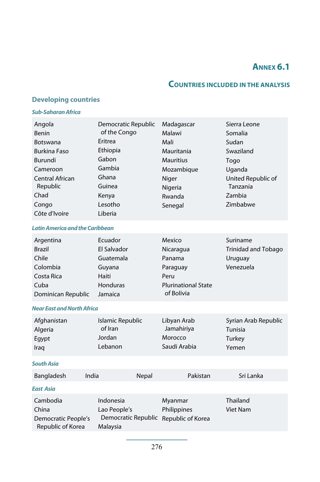# **Annex 6.1**

### **Countries included in the analysis**

### **Developing countries**

#### *Sub-Saharan Africa*

| Angola<br>Benin<br>Botswana<br><b>Burkina Faso</b><br>Burundi<br>Cameroon<br>Central African<br>Republic<br>Chad<br>Congo<br>Côte d'Ivoire | Democratic Republic<br>of the Congo<br>Eritrea<br>Ethiopia<br>Gabon<br>Gambia<br>Ghana<br>Guinea<br>Kenya<br>Lesotho<br>Liberia | Madagascar<br>Malawi<br>Mali<br>Mauritania<br><b>Mauritius</b><br>Mozambique<br>Niger<br>Nigeria<br>Rwanda<br>Senegal | Sierra Leone<br>Somalia<br>Sudan<br>Swaziland<br>Togo<br>Uganda<br>United Republic of<br>Tanzania<br>Zambia<br>Zimbabwe |  |  |
|--------------------------------------------------------------------------------------------------------------------------------------------|---------------------------------------------------------------------------------------------------------------------------------|-----------------------------------------------------------------------------------------------------------------------|-------------------------------------------------------------------------------------------------------------------------|--|--|
| <b>Latin America and the Caribbean</b>                                                                                                     |                                                                                                                                 |                                                                                                                       |                                                                                                                         |  |  |
| Argentina<br><b>Brazil</b><br>Chile<br>Colombia<br>Costa Rica<br>Cuba<br>Dominican Republic                                                | Ecuador<br>El Salvador<br>Guatemala<br>Guyana<br>Haiti<br>Honduras<br>Jamaica                                                   | Mexico<br>Nicaragua<br>Panama<br>Paraguay<br>Peru<br><b>Plurinational State</b><br>of Bolivia                         | Suriname<br>Trinidad and Tobago<br>Uruguay<br>Venezuela                                                                 |  |  |
| <b>Near East and North Africa</b>                                                                                                          |                                                                                                                                 |                                                                                                                       |                                                                                                                         |  |  |
| Afghanistan<br>Algeria<br>Egypt<br>Iraq                                                                                                    | Islamic Republic<br>of Iran<br>Jordan<br>Lebanon                                                                                | Libyan Arab<br>Jamahiriya<br>Morocco<br>Saudi Arabia                                                                  | Syrian Arab Republic<br>Tunisia<br>Turkey<br>Yemen                                                                      |  |  |
| <b>South Asia</b>                                                                                                                          |                                                                                                                                 |                                                                                                                       |                                                                                                                         |  |  |
| India<br>Bangladesh                                                                                                                        | Nepal                                                                                                                           | Pakistan                                                                                                              | Sri Lanka                                                                                                               |  |  |
| <b>East Asia</b>                                                                                                                           |                                                                                                                                 |                                                                                                                       |                                                                                                                         |  |  |
| Cambodia<br>China<br>Democratic People's<br>Republic of Korea                                                                              | Indonesia<br>Lao People's<br>Democratic Republic<br>Malaysia                                                                    | Myanmar<br>Philippines<br>Republic of Korea                                                                           | Thailand<br><b>Viet Nam</b>                                                                                             |  |  |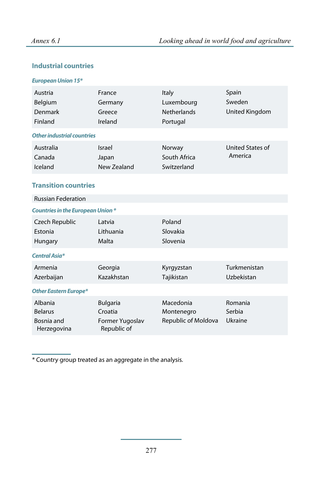### **Industrial countries**

#### *European Union 15\**

| Austria<br>Belgium<br>Denmark<br>Finland               | France<br>Germany<br>Greece<br>Ireland                       | Italy<br>Luxembourg<br><b>Netherlands</b><br>Portugal | Spain<br>Sweden<br>United Kingdom |
|--------------------------------------------------------|--------------------------------------------------------------|-------------------------------------------------------|-----------------------------------|
| <b>Other industrial countries</b>                      |                                                              |                                                       |                                   |
| Australia<br>Canada<br>Iceland                         | Israel<br>Japan<br>New Zealand                               | Norway<br>South Africa<br>Switzerland                 | United States of<br>America       |
| <b>Transition countries</b>                            |                                                              |                                                       |                                   |
| <b>Russian Federation</b>                              |                                                              |                                                       |                                   |
| <b>Countries in the European Union *</b>               |                                                              |                                                       |                                   |
| Czech Republic<br>Estonia<br>Hungary                   | Latvia<br>Lithuania<br>Malta                                 | Poland<br>Slovakia<br>Slovenia                        |                                   |
| <b>Central Asia*</b>                                   |                                                              |                                                       |                                   |
| Armenia<br>Azerbaijan                                  | Georgia<br>Kazakhstan                                        | Kyrgyzstan<br>Tajikistan                              | Turkmenistan<br>Uzbekistan        |
| <b>Other Eastern Europe*</b>                           |                                                              |                                                       |                                   |
| Albania<br><b>Belarus</b><br>Bosnia and<br>Herzegovina | <b>Bulgaria</b><br>Croatia<br>Former Yugoslav<br>Republic of | Macedonia<br>Montenegro<br>Republic of Moldova        | Romania<br>Serbia<br>Ukraine      |

\* Country group treated as an aggregate in the analysis.